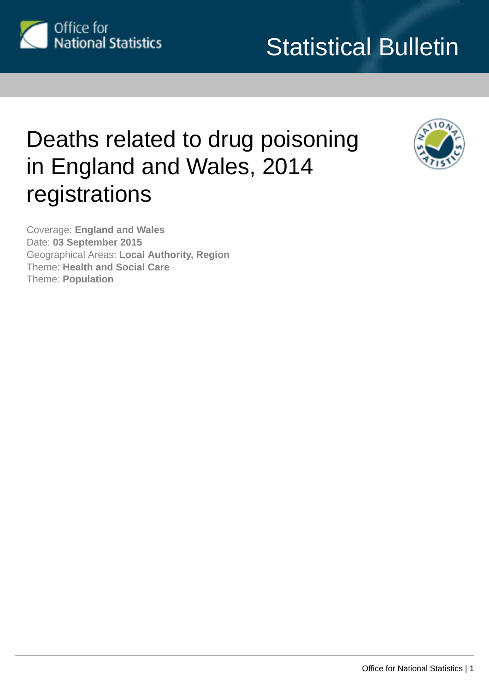<span id="page-0-0"></span>

# Statistical Bulletin

# Deaths related to drug poisoning in England and Wales, 2014 registrations



Coverage: **England and Wales** Date: **03 September 2015** Geographical Areas: **Local Authority, Region** Theme: **Health and Social Care** Theme: **Population**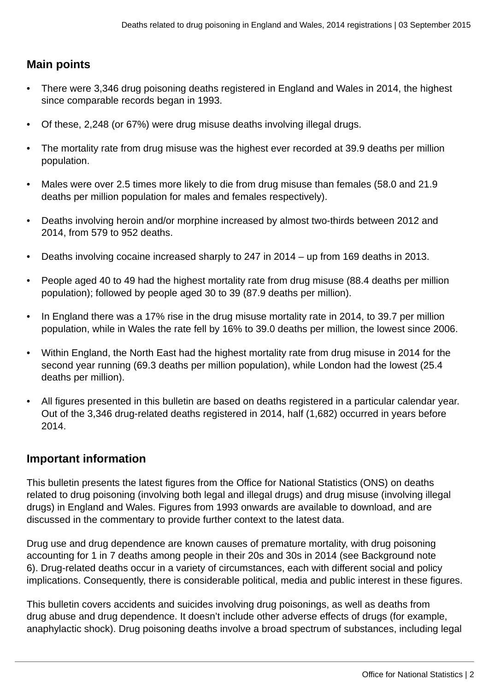# **Main points**

- There were 3,346 drug poisoning deaths registered in England and Wales in 2014, the highest since comparable records began in 1993.
- Of these, 2,248 (or 67%) were drug misuse deaths involving illegal drugs.
- The mortality rate from drug misuse was the highest ever recorded at 39.9 deaths per million population.
- Males were over 2.5 times more likely to die from drug misuse than females (58.0 and 21.9 deaths per million population for males and females respectively).
- Deaths involving heroin and/or morphine increased by almost two-thirds between 2012 and 2014, from 579 to 952 deaths.
- Deaths involving cocaine increased sharply to 247 in 2014 up from 169 deaths in 2013.
- People aged 40 to 49 had the highest mortality rate from drug misuse (88.4 deaths per million population); followed by people aged 30 to 39 (87.9 deaths per million).
- In England there was a 17% rise in the drug misuse mortality rate in 2014, to 39.7 per million population, while in Wales the rate fell by 16% to 39.0 deaths per million, the lowest since 2006.
- Within England, the North East had the highest mortality rate from drug misuse in 2014 for the second year running (69.3 deaths per million population), while London had the lowest (25.4 deaths per million).
- All figures presented in this bulletin are based on deaths registered in a particular calendar year. Out of the 3,346 drug-related deaths registered in 2014, half (1,682) occurred in years before 2014.

# **Important information**

This bulletin presents the latest figures from the Office for National Statistics (ONS) on deaths related to drug poisoning (involving both legal and illegal drugs) and drug misuse (involving illegal drugs) in England and Wales. Figures from 1993 onwards are available to download, and are discussed in the commentary to provide further context to the latest data.

Drug use and drug dependence are known causes of premature mortality, with drug poisoning accounting for 1 in 7 deaths among people in their 20s and 30s in 2014 (see Background note 6). Drug-related deaths occur in a variety of circumstances, each with different social and policy implications. Consequently, there is considerable political, media and public interest in these figures.

This bulletin covers accidents and suicides involving drug poisonings, as well as deaths from drug abuse and drug dependence. It doesn't include other adverse effects of drugs (for example, anaphylactic shock). Drug poisoning deaths involve a broad spectrum of substances, including legal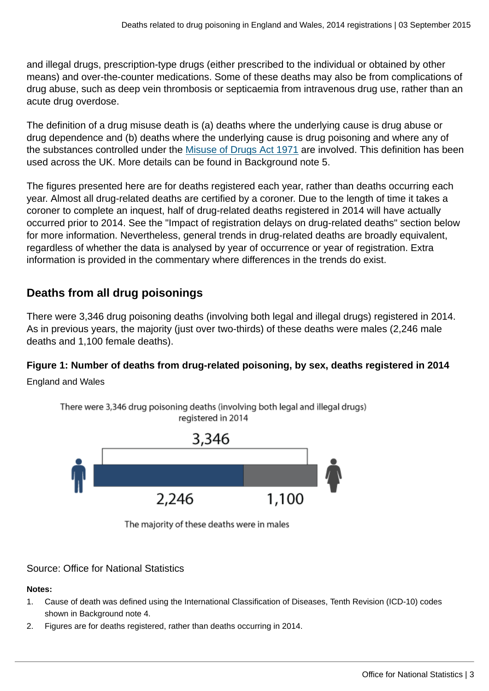and illegal drugs, prescription-type drugs (either prescribed to the individual or obtained by other means) and over-the-counter medications. Some of these deaths may also be from complications of drug abuse, such as deep vein thrombosis or septicaemia from intravenous drug use, rather than an acute drug overdose.

The definition of a drug misuse death is (a) deaths where the underlying cause is drug abuse or drug dependence and (b) deaths where the underlying cause is drug poisoning and where any of the substances controlled under the [Misuse of Drugs Act 1971](http://www.legislation.gov.uk/ukpga/1971/38/contents) are involved. This definition has been used across the UK. More details can be found in Background note 5.

The figures presented here are for deaths registered each year, rather than deaths occurring each year. Almost all drug-related deaths are certified by a coroner. Due to the length of time it takes a coroner to complete an inquest, half of drug-related deaths registered in 2014 will have actually occurred prior to 2014. See the "Impact of registration delays on drug-related deaths" section below for more information. Nevertheless, general trends in drug-related deaths are broadly equivalent, regardless of whether the data is analysed by year of occurrence or year of registration. Extra information is provided in the commentary where differences in the trends do exist.

# **Deaths from all drug poisonings**

There were 3,346 drug poisoning deaths (involving both legal and illegal drugs) registered in 2014. As in previous years, the majority (just over two-thirds) of these deaths were males (2,246 male deaths and 1,100 female deaths).

# **Figure 1: Number of deaths from drug-related poisoning, by sex, deaths registered in 2014**

England and Wales



There were 3,346 drug poisoning deaths (involving both legal and illegal drugs)

The majority of these deaths were in males

# Source: Office for National Statistics

## **Notes:**

- 1. Cause of death was defined using the International Classification of Diseases, Tenth Revision (ICD-10) codes shown in Background note 4.
- 2. Figures are for deaths registered, rather than deaths occurring in 2014.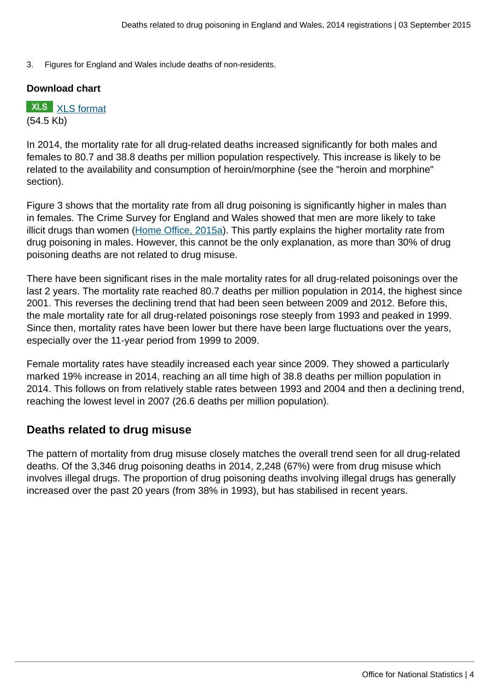3. Figures for England and Wales include deaths of non-residents.

#### **Download chart**

**XLS** [XLS format](http://www.ons.gov.uk:80/ons/rel/subnational-health3/deaths-related-to-drug-poisoning/england-and-wales---2014/chd-1.xls) (54.5 Kb)

In 2014, the mortality rate for all drug-related deaths increased significantly for both males and females to 80.7 and 38.8 deaths per million population respectively. This increase is likely to be related to the availability and consumption of heroin/morphine (see the "heroin and morphine" section).

Figure 3 shows that the mortality rate from all drug poisoning is significantly higher in males than in females. The Crime Survey for England and Wales showed that men are more likely to take illicit drugs than women [\(Home Office, 2015a\)](https://www.gov.uk/government/statistics/drug-misuse-findings-from-the-2014-to-2015-csew). This partly explains the higher mortality rate from drug poisoning in males. However, this cannot be the only explanation, as more than 30% of drug poisoning deaths are not related to drug misuse.

There have been significant rises in the male mortality rates for all drug-related poisonings over the last 2 years. The mortality rate reached 80.7 deaths per million population in 2014, the highest since 2001. This reverses the declining trend that had been seen between 2009 and 2012. Before this, the male mortality rate for all drug-related poisonings rose steeply from 1993 and peaked in 1999. Since then, mortality rates have been lower but there have been large fluctuations over the years, especially over the 11-year period from 1999 to 2009.

Female mortality rates have steadily increased each year since 2009. They showed a particularly marked 19% increase in 2014, reaching an all time high of 38.8 deaths per million population in 2014. This follows on from relatively stable rates between 1993 and 2004 and then a declining trend, reaching the lowest level in 2007 (26.6 deaths per million population).

# **Deaths related to drug misuse**

The pattern of mortality from drug misuse closely matches the overall trend seen for all drug-related deaths. Of the 3,346 drug poisoning deaths in 2014, 2,248 (67%) were from drug misuse which involves illegal drugs. The proportion of drug poisoning deaths involving illegal drugs has generally increased over the past 20 years (from 38% in 1993), but has stabilised in recent years.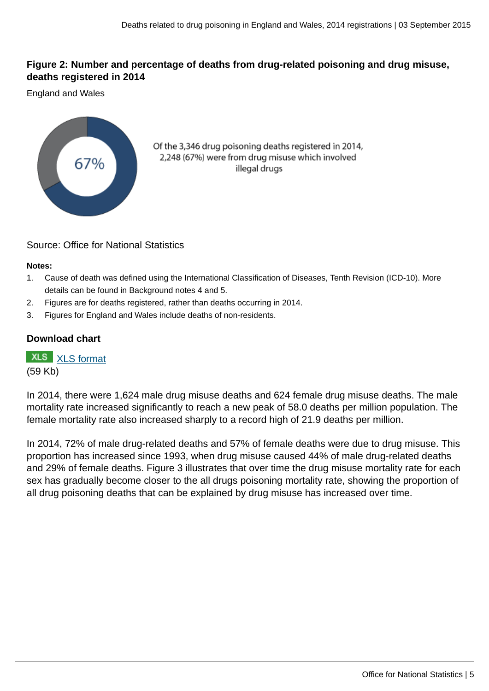## **Figure 2: Number and percentage of deaths from drug-related poisoning and drug misuse, deaths registered in 2014**

England and Wales



Of the 3,346 drug poisoning deaths registered in 2014, 2,248 (67%) were from drug misuse which involved illegal drugs

## Source: Office for National Statistics

#### **Notes:**

- 1. Cause of death was defined using the International Classification of Diseases, Tenth Revision (ICD-10). More details can be found in Background notes 4 and 5.
- 2. Figures are for deaths registered, rather than deaths occurring in 2014.
- 3. Figures for England and Wales include deaths of non-residents.

## **Download chart**

**XLS** [XLS format](http://www.ons.gov.uk:80/ons/rel/subnational-health3/deaths-related-to-drug-poisoning/england-and-wales---2014/chd-2.xls)

(59 Kb)

In 2014, there were 1,624 male drug misuse deaths and 624 female drug misuse deaths. The male mortality rate increased significantly to reach a new peak of 58.0 deaths per million population. The female mortality rate also increased sharply to a record high of 21.9 deaths per million.

In 2014, 72% of male drug-related deaths and 57% of female deaths were due to drug misuse. This proportion has increased since 1993, when drug misuse caused 44% of male drug-related deaths and 29% of female deaths. Figure 3 illustrates that over time the drug misuse mortality rate for each sex has gradually become closer to the all drugs poisoning mortality rate, showing the proportion of all drug poisoning deaths that can be explained by drug misuse has increased over time.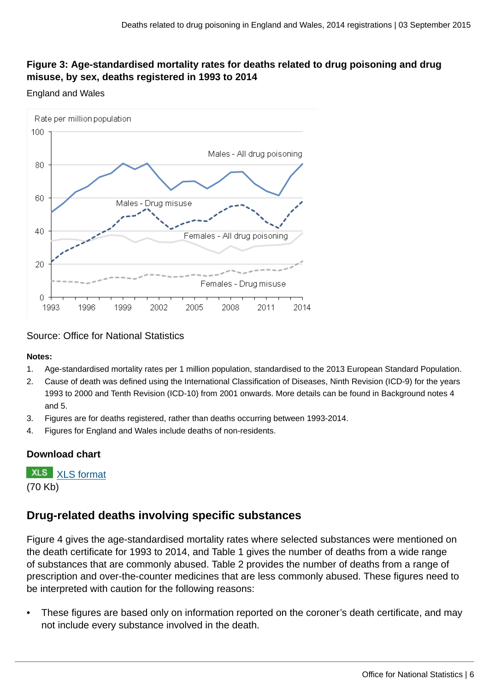# **Figure 3: Age-standardised mortality rates for deaths related to drug poisoning and drug misuse, by sex, deaths registered in 1993 to 2014**

#### England and Wales



Source: Office for National Statistics

#### **Notes:**

- 1. Age-standardised mortality rates per 1 million population, standardised to the 2013 European Standard Population.
- 2. Cause of death was defined using the International Classification of Diseases, Ninth Revision (ICD-9) for the years 1993 to 2000 and Tenth Revision (ICD-10) from 2001 onwards. More details can be found in Background notes 4 and 5.
- 3. Figures are for deaths registered, rather than deaths occurring between 1993-2014.
- 4. Figures for England and Wales include deaths of non-residents.

# **Download chart**

**XLS** [XLS format](http://www.ons.gov.uk:80/ons/rel/subnational-health3/deaths-related-to-drug-poisoning/england-and-wales---2014/chd-3.xls) (70 Kb)

# **Drug-related deaths involving specific substances**

Figure 4 gives the age-standardised mortality rates where selected substances were mentioned on the death certificate for 1993 to 2014, and Table 1 gives the number of deaths from a wide range of substances that are commonly abused. Table 2 provides the number of deaths from a range of prescription and over-the-counter medicines that are less commonly abused. These figures need to be interpreted with caution for the following reasons:

• These figures are based only on information reported on the coroner's death certificate, and may not include every substance involved in the death.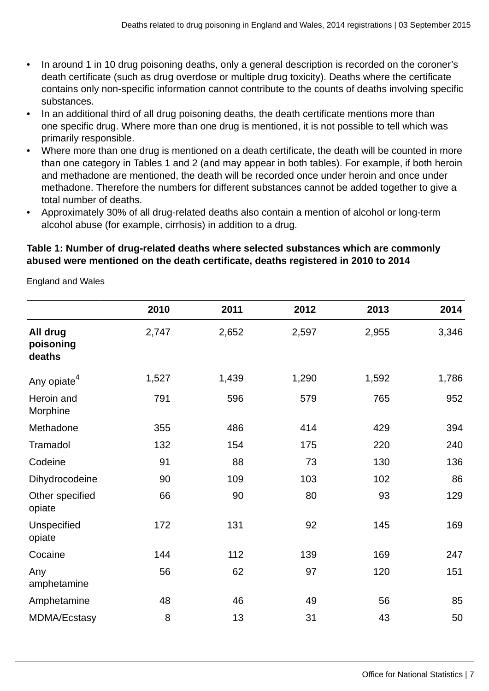- In around 1 in 10 drug poisoning deaths, only a general description is recorded on the coroner's death certificate (such as drug overdose or multiple drug toxicity). Deaths where the certificate contains only non-specific information cannot contribute to the counts of deaths involving specific substances.
- In an additional third of all drug poisoning deaths, the death certificate mentions more than one specific drug. Where more than one drug is mentioned, it is not possible to tell which was primarily responsible.
- Where more than one drug is mentioned on a death certificate, the death will be counted in more than one category in Tables 1 and 2 (and may appear in both tables). For example, if both heroin and methadone are mentioned, the death will be recorded once under heroin and once under methadone. Therefore the numbers for different substances cannot be added together to give a total number of deaths.
- Approximately 30% of all drug-related deaths also contain a mention of alcohol or long-term alcohol abuse (for example, cirrhosis) in addition to a drug.

## **Table 1: Number of drug-related deaths where selected substances which are commonly abused were mentioned on the death certificate, deaths registered in 2010 to 2014**

England and Wales

|                                 | 2010  | 2011  | 2012  | 2013  | 2014  |
|---------------------------------|-------|-------|-------|-------|-------|
| All drug<br>poisoning<br>deaths | 2,747 | 2,652 | 2,597 | 2,955 | 3,346 |
| Any opiate <sup>4</sup>         | 1,527 | 1,439 | 1,290 | 1,592 | 1,786 |
| Heroin and<br>Morphine          | 791   | 596   | 579   | 765   | 952   |
| Methadone                       | 355   | 486   | 414   | 429   | 394   |
| Tramadol                        | 132   | 154   | 175   | 220   | 240   |
| Codeine                         | 91    | 88    | 73    | 130   | 136   |
| Dihydrocodeine                  | 90    | 109   | 103   | 102   | 86    |
| Other specified<br>opiate       | 66    | 90    | 80    | 93    | 129   |
| Unspecified<br>opiate           | 172   | 131   | 92    | 145   | 169   |
| Cocaine                         | 144   | 112   | 139   | 169   | 247   |
| Any<br>amphetamine              | 56    | 62    | 97    | 120   | 151   |
| Amphetamine                     | 48    | 46    | 49    | 56    | 85    |
| <b>MDMA/Ecstasy</b>             | 8     | 13    | 31    | 43    | 50    |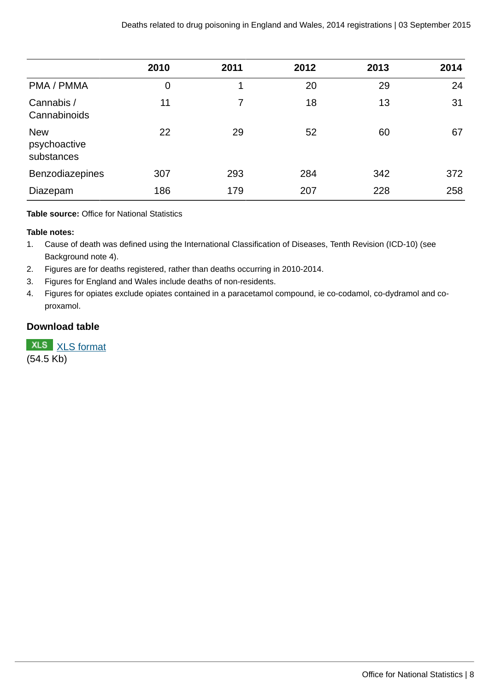|                                          | 2010 | 2011 | 2012 | 2013 | 2014 |
|------------------------------------------|------|------|------|------|------|
| PMA / PMMA                               | 0    | 1    | 20   | 29   | 24   |
| Cannabis /<br>Cannabinoids               | 11   | 7    | 18   | 13   | 31   |
| <b>New</b><br>psychoactive<br>substances | 22   | 29   | 52   | 60   | 67   |
| <b>Benzodiazepines</b>                   | 307  | 293  | 284  | 342  | 372  |
| Diazepam                                 | 186  | 179  | 207  | 228  | 258  |

**Table source:** Office for National Statistics

#### **Table notes:**

- 1. Cause of death was defined using the International Classification of Diseases, Tenth Revision (ICD-10) (see Background note 4).
- 2. Figures are for deaths registered, rather than deaths occurring in 2010-2014.
- 3. Figures for England and Wales include deaths of non-residents.
- 4. Figures for opiates exclude opiates contained in a paracetamol compound, ie co-codamol, co-dydramol and coproxamol.

## **Download table**

**XLS** [XLS format](http://www.ons.gov.uk:80/ons/rel/subnational-health3/deaths-related-to-drug-poisoning/england-and-wales---2014/prt-1.xls) (54.5 Kb)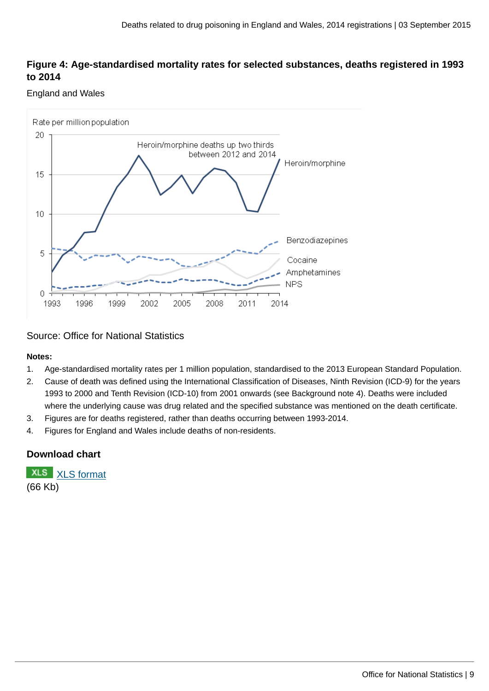# **Figure 4: Age-standardised mortality rates for selected substances, deaths registered in 1993 to 2014**

#### England and Wales



#### Source: Office for National Statistics

#### **Notes:**

- 1. Age-standardised mortality rates per 1 million population, standardised to the 2013 European Standard Population.
- 2. Cause of death was defined using the International Classification of Diseases, Ninth Revision (ICD-9) for the years 1993 to 2000 and Tenth Revision (ICD-10) from 2001 onwards (see Background note 4). Deaths were included where the underlying cause was drug related and the specified substance was mentioned on the death certificate.
- 3. Figures are for deaths registered, rather than deaths occurring between 1993-2014.
- 4. Figures for England and Wales include deaths of non-residents.

# **Download chart**

**XLS** [XLS format](http://www.ons.gov.uk:80/ons/rel/subnational-health3/deaths-related-to-drug-poisoning/england-and-wales---2014/chd-4.xls) (66 Kb)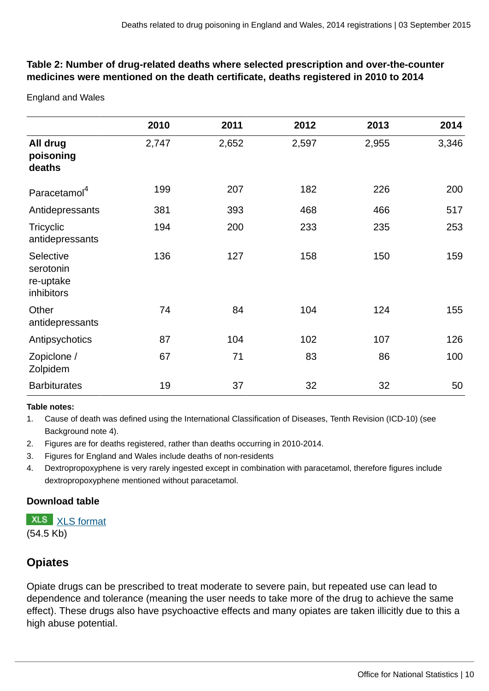# **Table 2: Number of drug-related deaths where selected prescription and over-the-counter medicines were mentioned on the death certificate, deaths registered in 2010 to 2014**

England and Wales

|                                                   | 2010  | 2011  | 2012  | 2013  | 2014  |
|---------------------------------------------------|-------|-------|-------|-------|-------|
| All drug<br>poisoning<br>deaths                   | 2,747 | 2,652 | 2,597 | 2,955 | 3,346 |
| Paracetamol <sup>4</sup>                          | 199   | 207   | 182   | 226   | 200   |
| Antidepressants                                   | 381   | 393   | 468   | 466   | 517   |
| <b>Tricyclic</b><br>antidepressants               | 194   | 200   | 233   | 235   | 253   |
| Selective<br>serotonin<br>re-uptake<br>inhibitors | 136   | 127   | 158   | 150   | 159   |
| Other<br>antidepressants                          | 74    | 84    | 104   | 124   | 155   |
| Antipsychotics                                    | 87    | 104   | 102   | 107   | 126   |
| Zopiclone /<br>Zolpidem                           | 67    | 71    | 83    | 86    | 100   |
| <b>Barbiturates</b>                               | 19    | 37    | 32    | 32    | 50    |

#### **Table notes:**

1. Cause of death was defined using the International Classification of Diseases, Tenth Revision (ICD-10) (see Background note 4).

- 2. Figures are for deaths registered, rather than deaths occurring in 2010-2014.
- 3. Figures for England and Wales include deaths of non-residents
- 4. Dextropropoxyphene is very rarely ingested except in combination with paracetamol, therefore figures include dextropropoxyphene mentioned without paracetamol.

## **Download table**

**XLS** [XLS format](http://www.ons.gov.uk:80/ons/rel/subnational-health3/deaths-related-to-drug-poisoning/england-and-wales---2014/prt-2.xls) (54.5 Kb)

# **Opiates**

Opiate drugs can be prescribed to treat moderate to severe pain, but repeated use can lead to dependence and tolerance (meaning the user needs to take more of the drug to achieve the same effect). These drugs also have psychoactive effects and many opiates are taken illicitly due to this a high abuse potential.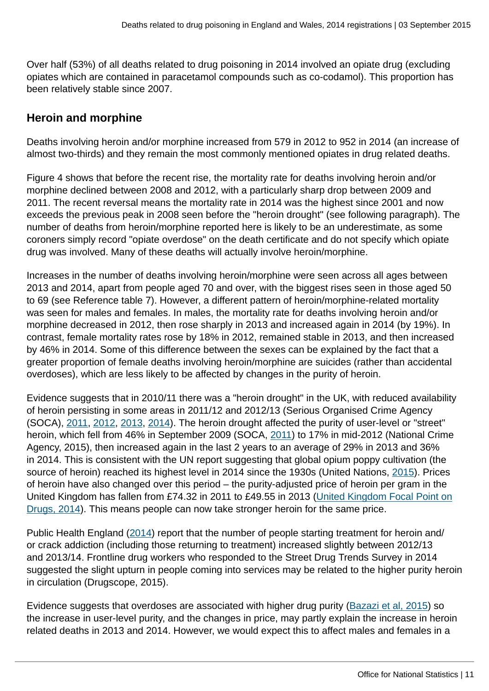Over half (53%) of all deaths related to drug poisoning in 2014 involved an opiate drug (excluding opiates which are contained in paracetamol compounds such as co-codamol). This proportion has been relatively stable since 2007.

# **Heroin and morphine**

Deaths involving heroin and/or morphine increased from 579 in 2012 to 952 in 2014 (an increase of almost two-thirds) and they remain the most commonly mentioned opiates in drug related deaths.

Figure 4 shows that before the recent rise, the mortality rate for deaths involving heroin and/or morphine declined between 2008 and 2012, with a particularly sharp drop between 2009 and 2011. The recent reversal means the mortality rate in 2014 was the highest since 2001 and now exceeds the previous peak in 2008 seen before the "heroin drought" (see following paragraph). The number of deaths from heroin/morphine reported here is likely to be an underestimate, as some coroners simply record "opiate overdose" on the death certificate and do not specify which opiate drug was involved. Many of these deaths will actually involve heroin/morphine.

Increases in the number of deaths involving heroin/morphine were seen across all ages between 2013 and 2014, apart from people aged 70 and over, with the biggest rises seen in those aged 50 to 69 (see Reference table 7). However, a different pattern of heroin/morphine-related mortality was seen for males and females. In males, the mortality rate for deaths involving heroin and/or morphine decreased in 2012, then rose sharply in 2013 and increased again in 2014 (by 19%). In contrast, female mortality rates rose by 18% in 2012, remained stable in 2013, and then increased by 46% in 2014. Some of this difference between the sexes can be explained by the fact that a greater proportion of female deaths involving heroin/morphine are suicides (rather than accidental overdoses), which are less likely to be affected by changes in the purity of heroin.

Evidence suggests that in 2010/11 there was a "heroin drought" in the UK, with reduced availability of heroin persisting in some areas in 2011/12 and 2012/13 (Serious Organised Crime Agency (SOCA), [2011,](https://www.gov.uk/government/publications/serious-organised-crime-agency-annual-report-and-accounts-2010-to-2011) [2012](https://www.gov.uk/government/publications/serious-organised-crime-agency-annual-report-and-accounts-2011-to-2012), [2013](https://www.gov.uk/government/publications/serious-organised-crime-agency-annual-report-and-accounts-2012-to-2013), [2014\)](https://www.gov.uk/government/publications/serious-organised-crime-agency-annual-report-2013-to-2014). The heroin drought affected the purity of user-level or "street" heroin, which fell from 46% in September 2009 (SOCA, [2011\)](https://www.gov.uk/government/publications/serious-organised-crime-agency-annual-report-and-accounts-2010-to-2011) to 17% in mid-2012 (National Crime Agency, 2015), then increased again in the last 2 years to an average of 29% in 2013 and 36% in 2014. This is consistent with the UN report suggesting that global opium poppy cultivation (the source of heroin) reached its highest level in 2014 since the 1930s (United Nations, [2015\)](#page-0-0). Prices of heroin have also changed over this period – the purity-adjusted price of heroin per gram in the United Kingdom has fallen from £74.32 in 2011 to £49.55 in 2013 ([United Kingdom Focal Point on](http://www.nta.nhs.uk/uploads/uk-focal-point-report-2014.pdf) [Drugs, 2014\)](http://www.nta.nhs.uk/uploads/uk-focal-point-report-2014.pdf). This means people can now take stronger heroin for the same price.

Public Health England ([2014](http://www.nta.nhs.uk/uploads/drug-treatment-in-england-2013-14-commentary.pdf)) report that the number of people starting treatment for heroin and/ or crack addiction (including those returning to treatment) increased slightly between 2012/13 and 2013/14. Frontline drug workers who responded to the Street Drug Trends Survey in 2014 suggested the slight upturn in people coming into services may be related to the higher purity heroin in circulation (Drugscope, 2015).

Evidence suggests that overdoses are associated with higher drug purity [\(Bazazi et al, 2015](http://www.ijdp.org/article/S0955-3959(14)00334-X/abstract)) so the increase in user-level purity, and the changes in price, may partly explain the increase in heroin related deaths in 2013 and 2014. However, we would expect this to affect males and females in a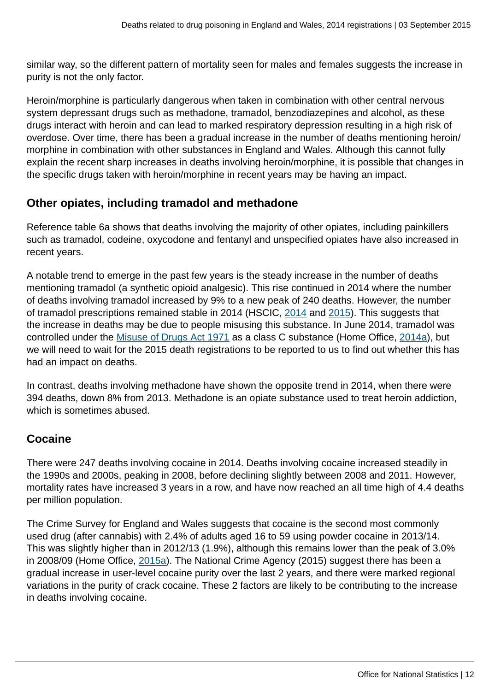similar way, so the different pattern of mortality seen for males and females suggests the increase in purity is not the only factor.

Heroin/morphine is particularly dangerous when taken in combination with other central nervous system depressant drugs such as methadone, tramadol, benzodiazepines and alcohol, as these drugs interact with heroin and can lead to marked respiratory depression resulting in a high risk of overdose. Over time, there has been a gradual increase in the number of deaths mentioning heroin/ morphine in combination with other substances in England and Wales. Although this cannot fully explain the recent sharp increases in deaths involving heroin/morphine, it is possible that changes in the specific drugs taken with heroin/morphine in recent years may be having an impact.

# **Other opiates, including tramadol and methadone**

Reference table 6a shows that deaths involving the majority of other opiates, including painkillers such as tramadol, codeine, oxycodone and fentanyl and unspecified opiates have also increased in recent years.

A notable trend to emerge in the past few years is the steady increase in the number of deaths mentioning tramadol (a synthetic opioid analgesic). This rise continued in 2014 where the number of deaths involving tramadol increased by 9% to a new peak of 240 deaths. However, the number of tramadol prescriptions remained stable in 2014 (HSCIC, [2014](http://www.hscic.gov.uk/searchcatalogue?productid=14494&q=prescription+cost+analysis&sort=Relevance&size=10&page=2#top) and [2015](http://www.hscic.gov.uk/searchcatalogue?productid=17711&q=prescription+cost+analysis&sort=Relevance&size=10&page=1#top)). This suggests that the increase in deaths may be due to people misusing this substance. In June 2014, tramadol was controlled under the [Misuse of Drugs Act 1971](http://www.legislation.gov.uk/ukpga/1971/38/contents) as a class C substance (Home Office, [2014a](https://www.gov.uk/government/publications/circular-0082014-changes-to-the-misuse-of-drugs-act-1971)), but we will need to wait for the 2015 death registrations to be reported to us to find out whether this has had an impact on deaths.

In contrast, deaths involving methadone have shown the opposite trend in 2014, when there were 394 deaths, down 8% from 2013. Methadone is an opiate substance used to treat heroin addiction, which is sometimes abused.

# **Cocaine**

There were 247 deaths involving cocaine in 2014. Deaths involving cocaine increased steadily in the 1990s and 2000s, peaking in 2008, before declining slightly between 2008 and 2011. However, mortality rates have increased 3 years in a row, and have now reached an all time high of 4.4 deaths per million population.

The Crime Survey for England and Wales suggests that cocaine is the second most commonly used drug (after cannabis) with 2.4% of adults aged 16 to 59 using powder cocaine in 2013/14. This was slightly higher than in 2012/13 (1.9%), although this remains lower than the peak of 3.0% in 2008/09 (Home Office, [2015a](https://www.gov.uk/government/statistics/drug-misuse-findings-from-the-2014-to-2015-csew)). The National Crime Agency (2015) suggest there has been a gradual increase in user-level cocaine purity over the last 2 years, and there were marked regional variations in the purity of crack cocaine. These 2 factors are likely to be contributing to the increase in deaths involving cocaine.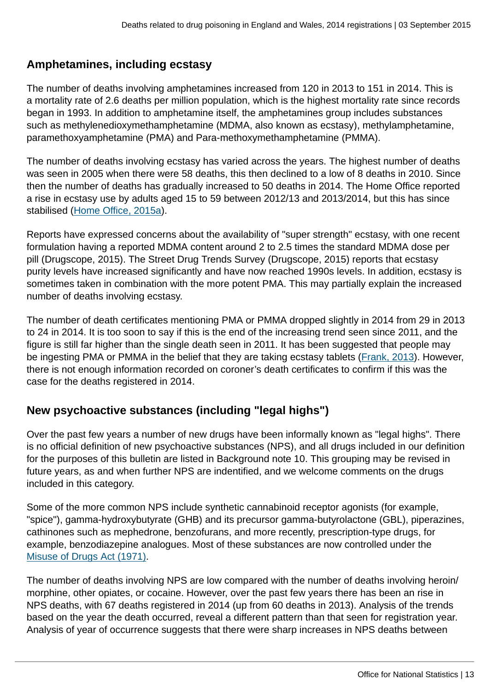# **Amphetamines, including ecstasy**

The number of deaths involving amphetamines increased from 120 in 2013 to 151 in 2014. This is a mortality rate of 2.6 deaths per million population, which is the highest mortality rate since records began in 1993. In addition to amphetamine itself, the amphetamines group includes substances such as methylenedioxymethamphetamine (MDMA, also known as ecstasy), methylamphetamine, paramethoxyamphetamine (PMA) and Para-methoxymethamphetamine (PMMA).

The number of deaths involving ecstasy has varied across the years. The highest number of deaths was seen in 2005 when there were 58 deaths, this then declined to a low of 8 deaths in 2010. Since then the number of deaths has gradually increased to 50 deaths in 2014. The Home Office reported a rise in ecstasy use by adults aged 15 to 59 between 2012/13 and 2013/2014, but this has since stabilised ([Home Office, 2015a](https://www.gov.uk/government/statistics/drug-misuse-findings-from-the-2014-to-2015-csew)).

Reports have expressed concerns about the availability of "super strength" ecstasy, with one recent formulation having a reported MDMA content around 2 to 2.5 times the standard MDMA dose per pill (Drugscope, 2015). The Street Drug Trends Survey (Drugscope, 2015) reports that ecstasy purity levels have increased significantly and have now reached 1990s levels. In addition, ecstasy is sometimes taken in combination with the more potent PMA. This may partially explain the increased number of deaths involving ecstasy.

The number of death certificates mentioning PMA or PMMA dropped slightly in 2014 from 29 in 2013 to 24 in 2014. It is too soon to say if this is the end of the increasing trend seen since 2011, and the figure is still far higher than the single death seen in 2011. It has been suggested that people may be ingesting PMA or PMMA in the belief that they are taking ecstasy tablets ([Frank, 2013\)](http://www.talktofrank.com/news/what-pma). However, there is not enough information recorded on coroner's death certificates to confirm if this was the case for the deaths registered in 2014.

# **New psychoactive substances (including "legal highs")**

Over the past few years a number of new drugs have been informally known as "legal highs". There is no official definition of new psychoactive substances (NPS), and all drugs included in our definition for the purposes of this bulletin are listed in Background note 10. This grouping may be revised in future years, as and when further NPS are indentified, and we welcome comments on the drugs included in this category.

Some of the more common NPS include synthetic cannabinoid receptor agonists (for example, "spice"), gamma-hydroxybutyrate (GHB) and its precursor gamma-butyrolactone (GBL), piperazines, cathinones such as mephedrone, benzofurans, and more recently, prescription-type drugs, for example, benzodiazepine analogues. Most of these substances are now controlled under the [Misuse of Drugs Act \(1971\).](http://www.legislation.gov.uk/ukpga/1971/38/contents)

The number of deaths involving NPS are low compared with the number of deaths involving heroin/ morphine, other opiates, or cocaine. However, over the past few years there has been an rise in NPS deaths, with 67 deaths registered in 2014 (up from 60 deaths in 2013). Analysis of the trends based on the year the death occurred, reveal a different pattern than that seen for registration year. Analysis of year of occurrence suggests that there were sharp increases in NPS deaths between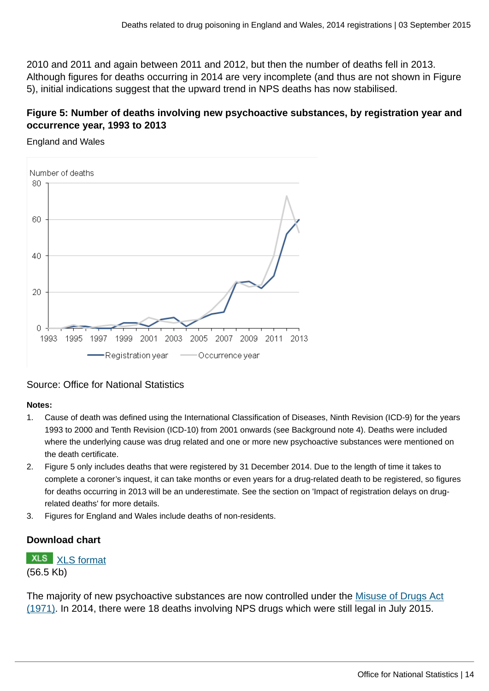2010 and 2011 and again between 2011 and 2012, but then the number of deaths fell in 2013. Although figures for deaths occurring in 2014 are very incomplete (and thus are not shown in Figure 5), initial indications suggest that the upward trend in NPS deaths has now stabilised.

# **Figure 5: Number of deaths involving new psychoactive substances, by registration year and occurrence year, 1993 to 2013**

England and Wales



## Source: Office for National Statistics

#### **Notes:**

- 1. Cause of death was defined using the International Classification of Diseases, Ninth Revision (ICD-9) for the years 1993 to 2000 and Tenth Revision (ICD-10) from 2001 onwards (see Background note 4). Deaths were included where the underlying cause was drug related and one or more new psychoactive substances were mentioned on the death certificate.
- 2. Figure 5 only includes deaths that were registered by 31 December 2014. Due to the length of time it takes to complete a coroner's inquest, it can take months or even years for a drug-related death to be registered, so figures for deaths occurring in 2013 will be an underestimate. See the section on 'Impact of registration delays on drugrelated deaths' for more details.
- 3. Figures for England and Wales include deaths of non-residents.

# **Download chart**

# **XLS** [XLS format](http://www.ons.gov.uk:80/ons/rel/subnational-health3/deaths-related-to-drug-poisoning/england-and-wales---2014/chd-5.xls) (56.5 Kb)

The majority of new psychoactive substances are now controlled under the [Misuse of Drugs Act](http://www.legislation.gov.uk/ukpga/1971/38/contents) [\(1971\)](http://www.legislation.gov.uk/ukpga/1971/38/contents). In 2014, there were 18 deaths involving NPS drugs which were still legal in July 2015.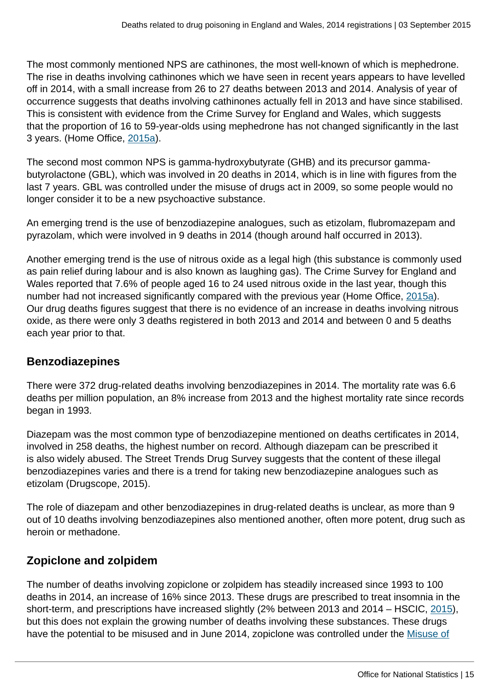The most commonly mentioned NPS are cathinones, the most well-known of which is mephedrone. The rise in deaths involving cathinones which we have seen in recent years appears to have levelled off in 2014, with a small increase from 26 to 27 deaths between 2013 and 2014. Analysis of year of occurrence suggests that deaths involving cathinones actually fell in 2013 and have since stabilised. This is consistent with evidence from the Crime Survey for England and Wales, which suggests that the proportion of 16 to 59-year-olds using mephedrone has not changed significantly in the last 3 years. (Home Office, [2015a\)](https://www.gov.uk/government/statistics/drug-misuse-findings-from-the-2014-to-2015-csew).

The second most common NPS is gamma-hydroxybutyrate (GHB) and its precursor gammabutyrolactone (GBL), which was involved in 20 deaths in 2014, which is in line with figures from the last 7 years. GBL was controlled under the misuse of drugs act in 2009, so some people would no longer consider it to be a new psychoactive substance.

An emerging trend is the use of benzodiazepine analogues, such as etizolam, flubromazepam and pyrazolam, which were involved in 9 deaths in 2014 (though around half occurred in 2013).

Another emerging trend is the use of nitrous oxide as a legal high (this substance is commonly used as pain relief during labour and is also known as laughing gas). The Crime Survey for England and Wales reported that 7.6% of people aged 16 to 24 used nitrous oxide in the last year, though this number had not increased significantly compared with the previous year (Home Office, [2015a](https://www.gov.uk/government/statistics/drug-misuse-findings-from-the-2014-to-2015-csew)). Our drug deaths figures suggest that there is no evidence of an increase in deaths involving nitrous oxide, as there were only 3 deaths registered in both 2013 and 2014 and between 0 and 5 deaths each year prior to that.

# **Benzodiazepines**

There were 372 drug-related deaths involving benzodiazepines in 2014. The mortality rate was 6.6 deaths per million population, an 8% increase from 2013 and the highest mortality rate since records began in 1993.

Diazepam was the most common type of benzodiazepine mentioned on deaths certificates in 2014, involved in 258 deaths, the highest number on record. Although diazepam can be prescribed it is also widely abused. The Street Trends Drug Survey suggests that the content of these illegal benzodiazepines varies and there is a trend for taking new benzodiazepine analogues such as etizolam (Drugscope, 2015).

The role of diazepam and other benzodiazepines in drug-related deaths is unclear, as more than 9 out of 10 deaths involving benzodiazepines also mentioned another, often more potent, drug such as heroin or methadone.

# **Zopiclone and zolpidem**

The number of deaths involving zopiclone or zolpidem has steadily increased since 1993 to 100 deaths in 2014, an increase of 16% since 2013. These drugs are prescribed to treat insomnia in the short-term, and prescriptions have increased slightly (2% between 2013 and 2014 – HSCIC, [2015](http://www.hscic.gov.uk/searchcatalogue?productid=17711&q=prescription+cost+analysis&sort=Relevance&size=10&page=1#top)), but this does not explain the growing number of deaths involving these substances. These drugs have the potential to be misused and in June 2014, zopiclone was controlled under the [Misuse of](http://www.legislation.gov.uk/ukpga/1971/38/contents)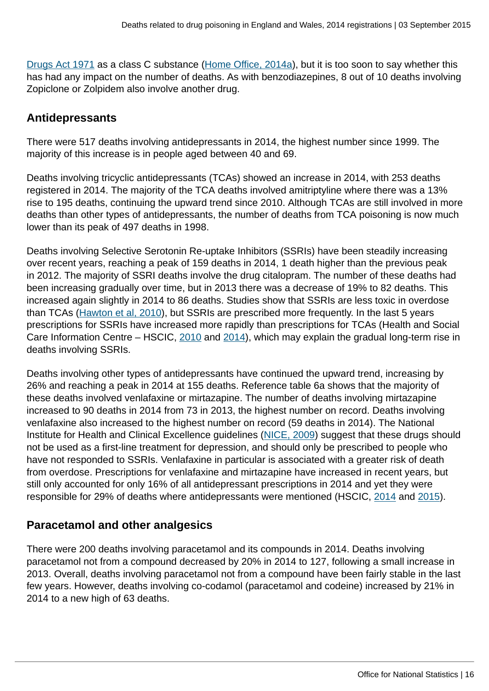[Drugs Act 1971](http://www.legislation.gov.uk/ukpga/1971/38/contents) as a class C substance [\(Home Office, 2014a](https://www.gov.uk/government/publications/circular-0082014-changes-to-the-misuse-of-drugs-act-1971)), but it is too soon to say whether this has had any impact on the number of deaths. As with benzodiazepines, 8 out of 10 deaths involving Zopiclone or Zolpidem also involve another drug.

# **Antidepressants**

There were 517 deaths involving antidepressants in 2014, the highest number since 1999. The majority of this increase is in people aged between 40 and 69.

Deaths involving tricyclic antidepressants (TCAs) showed an increase in 2014, with 253 deaths registered in 2014. The majority of the TCA deaths involved amitriptyline where there was a 13% rise to 195 deaths, continuing the upward trend since 2010. Although TCAs are still involved in more deaths than other types of antidepressants, the number of deaths from TCA poisoning is now much lower than its peak of 497 deaths in 1998.

Deaths involving Selective Serotonin Re-uptake Inhibitors (SSRIs) have been steadily increasing over recent years, reaching a peak of 159 deaths in 2014, 1 death higher than the previous peak in 2012. The majority of SSRI deaths involve the drug citalopram. The number of these deaths had been increasing gradually over time, but in 2013 there was a decrease of 19% to 82 deaths. This increased again slightly in 2014 to 86 deaths. Studies show that SSRIs are less toxic in overdose than TCAs [\(Hawton et al, 2010](http://journals.plos.org/plosmedicine/article?id=10.1371/journal.pmed.1001213)), but SSRIs are prescribed more frequently. In the last 5 years prescriptions for SSRIs have increased more rapidly than prescriptions for TCAs (Health and Social Care Information Centre – HSCIC, [2010](http://www.hscic.gov.uk/searchcatalogue?productid=2665&q=prescription+cost+analysis&sort=Relevance&size=10&page=1#top) and [2014](http://www.hscic.gov.uk/searchcatalogue?productid=14494&q=prescription+cost+analysis&sort=Relevance&size=10&page=2#top)), which may explain the gradual long-term rise in deaths involving SSRIs.

Deaths involving other types of antidepressants have continued the upward trend, increasing by 26% and reaching a peak in 2014 at 155 deaths. Reference table 6a shows that the majority of these deaths involved venlafaxine or mirtazapine. The number of deaths involving mirtazapine increased to 90 deaths in 2014 from 73 in 2013, the highest number on record. Deaths involving venlafaxine also increased to the highest number on record (59 deaths in 2014). The National Institute for Health and Clinical Excellence guidelines [\(NICE, 2009\)](http://www.nice.org.uk/guidance/cg90/chapter/1-recommendations) suggest that these drugs should not be used as a first-line treatment for depression, and should only be prescribed to people who have not responded to SSRIs. Venlafaxine in particular is associated with a greater risk of death from overdose. Prescriptions for venlafaxine and mirtazapine have increased in recent years, but still only accounted for only 16% of all antidepressant prescriptions in 2014 and yet they were responsible for 29% of deaths where antidepressants were mentioned (HSCIC, [2014](http://www.hscic.gov.uk/searchcatalogue?productid=14494&q=prescription+cost+analysis&sort=Relevance&size=10&page=2#top) and [2015](http://www.hscic.gov.uk/searchcatalogue?productid=17711&q=prescription+cost+analysis&sort=Relevance&size=10&page=1#top)).

# **Paracetamol and other analgesics**

There were 200 deaths involving paracetamol and its compounds in 2014. Deaths involving paracetamol not from a compound decreased by 20% in 2014 to 127, following a small increase in 2013. Overall, deaths involving paracetamol not from a compound have been fairly stable in the last few years. However, deaths involving co-codamol (paracetamol and codeine) increased by 21% in 2014 to a new high of 63 deaths.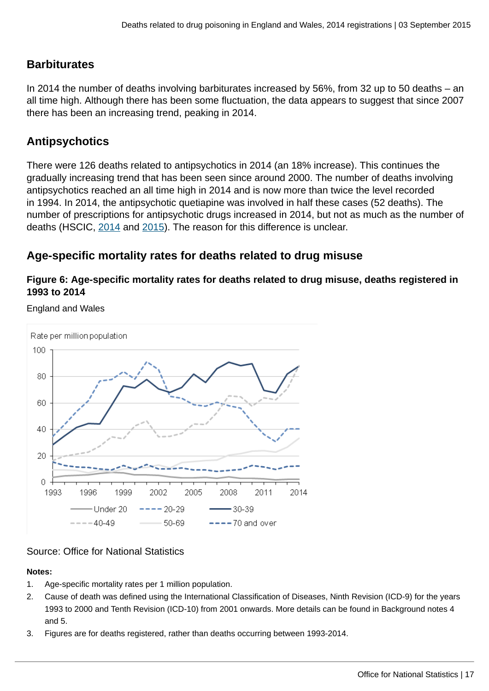# **Barbiturates**

In 2014 the number of deaths involving barbiturates increased by 56%, from 32 up to 50 deaths – an all time high. Although there has been some fluctuation, the data appears to suggest that since 2007 there has been an increasing trend, peaking in 2014.

# **Antipsychotics**

There were 126 deaths related to antipsychotics in 2014 (an 18% increase). This continues the gradually increasing trend that has been seen since around 2000. The number of deaths involving antipsychotics reached an all time high in 2014 and is now more than twice the level recorded in 1994. In 2014, the antipsychotic quetiapine was involved in half these cases (52 deaths). The number of prescriptions for antipsychotic drugs increased in 2014, but not as much as the number of deaths (HSCIC, [2014](http://www.hscic.gov.uk/catalogue/PUB13887/pres-cost-anal-eng-2013-data.csv) and [2015\)](http://www.hscic.gov.uk/searchcatalogue?productid=17711&q=prescription+cost+analysis&sort=Relevance&size=10&page=1#top). The reason for this difference is unclear.

# **Age-specific mortality rates for deaths related to drug misuse**

## **Figure 6: Age-specific mortality rates for deaths related to drug misuse, deaths registered in 1993 to 2014**

England and Wales



# Source: Office for National Statistics

#### **Notes:**

- 1. Age-specific mortality rates per 1 million population.
- 2. Cause of death was defined using the International Classification of Diseases, Ninth Revision (ICD-9) for the years 1993 to 2000 and Tenth Revision (ICD-10) from 2001 onwards. More details can be found in Background notes 4 and 5.
- 3. Figures are for deaths registered, rather than deaths occurring between 1993-2014.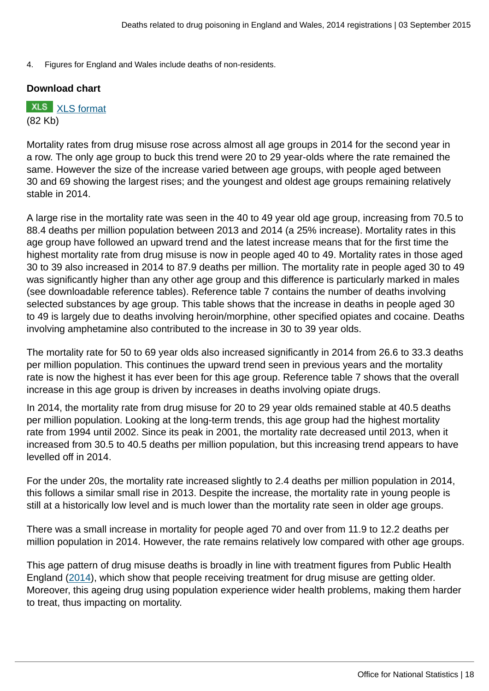4. Figures for England and Wales include deaths of non-residents.

#### **Download chart**

## **XLS** [XLS format](http://www.ons.gov.uk:80/ons/rel/subnational-health3/deaths-related-to-drug-poisoning/england-and-wales---2014/chd-6.xls) (82 Kb)

Mortality rates from drug misuse rose across almost all age groups in 2014 for the second year in a row. The only age group to buck this trend were 20 to 29 year-olds where the rate remained the same. However the size of the increase varied between age groups, with people aged between 30 and 69 showing the largest rises; and the youngest and oldest age groups remaining relatively stable in 2014.

A large rise in the mortality rate was seen in the 40 to 49 year old age group, increasing from 70.5 to 88.4 deaths per million population between 2013 and 2014 (a 25% increase). Mortality rates in this age group have followed an upward trend and the latest increase means that for the first time the highest mortality rate from drug misuse is now in people aged 40 to 49. Mortality rates in those aged 30 to 39 also increased in 2014 to 87.9 deaths per million. The mortality rate in people aged 30 to 49 was significantly higher than any other age group and this difference is particularly marked in males (see downloadable reference tables). Reference table 7 contains the number of deaths involving selected substances by age group. This table shows that the increase in deaths in people aged 30 to 49 is largely due to deaths involving heroin/morphine, other specified opiates and cocaine. Deaths involving amphetamine also contributed to the increase in 30 to 39 year olds.

The mortality rate for 50 to 69 year olds also increased significantly in 2014 from 26.6 to 33.3 deaths per million population. This continues the upward trend seen in previous years and the mortality rate is now the highest it has ever been for this age group. Reference table 7 shows that the overall increase in this age group is driven by increases in deaths involving opiate drugs.

In 2014, the mortality rate from drug misuse for 20 to 29 year olds remained stable at 40.5 deaths per million population. Looking at the long-term trends, this age group had the highest mortality rate from 1994 until 2002. Since its peak in 2001, the mortality rate decreased until 2013, when it increased from 30.5 to 40.5 deaths per million population, but this increasing trend appears to have levelled off in 2014.

For the under 20s, the mortality rate increased slightly to 2.4 deaths per million population in 2014, this follows a similar small rise in 2013. Despite the increase, the mortality rate in young people is still at a historically low level and is much lower than the mortality rate seen in older age groups.

There was a small increase in mortality for people aged 70 and over from 11.9 to 12.2 deaths per million population in 2014. However, the rate remains relatively low compared with other age groups.

This age pattern of drug misuse deaths is broadly in line with treatment figures from Public Health England ([2014](http://www.nta.nhs.uk/uploads/drug-treatment-in-england-2013-14-commentary.pdf)), which show that people receiving treatment for drug misuse are getting older. Moreover, this ageing drug using population experience wider health problems, making them harder to treat, thus impacting on mortality.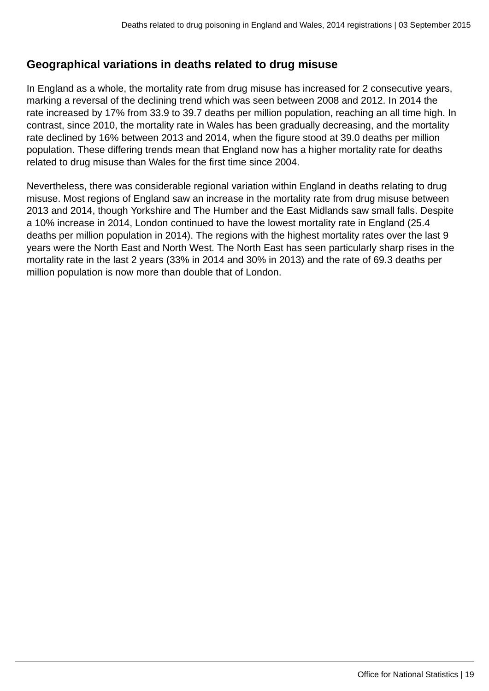# **Geographical variations in deaths related to drug misuse**

In England as a whole, the mortality rate from drug misuse has increased for 2 consecutive years, marking a reversal of the declining trend which was seen between 2008 and 2012. In 2014 the rate increased by 17% from 33.9 to 39.7 deaths per million population, reaching an all time high. In contrast, since 2010, the mortality rate in Wales has been gradually decreasing, and the mortality rate declined by 16% between 2013 and 2014, when the figure stood at 39.0 deaths per million population. These differing trends mean that England now has a higher mortality rate for deaths related to drug misuse than Wales for the first time since 2004.

Nevertheless, there was considerable regional variation within England in deaths relating to drug misuse. Most regions of England saw an increase in the mortality rate from drug misuse between 2013 and 2014, though Yorkshire and The Humber and the East Midlands saw small falls. Despite a 10% increase in 2014, London continued to have the lowest mortality rate in England (25.4 deaths per million population in 2014). The regions with the highest mortality rates over the last 9 years were the North East and North West. The North East has seen particularly sharp rises in the mortality rate in the last 2 years (33% in 2014 and 30% in 2013) and the rate of 69.3 deaths per million population is now more than double that of London.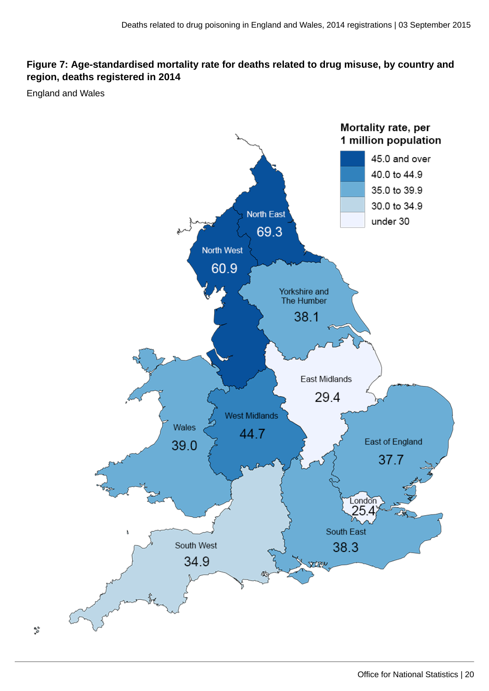# **Figure 7: Age-standardised mortality rate for deaths related to drug misuse, by country and region, deaths registered in 2014**

England and Wales

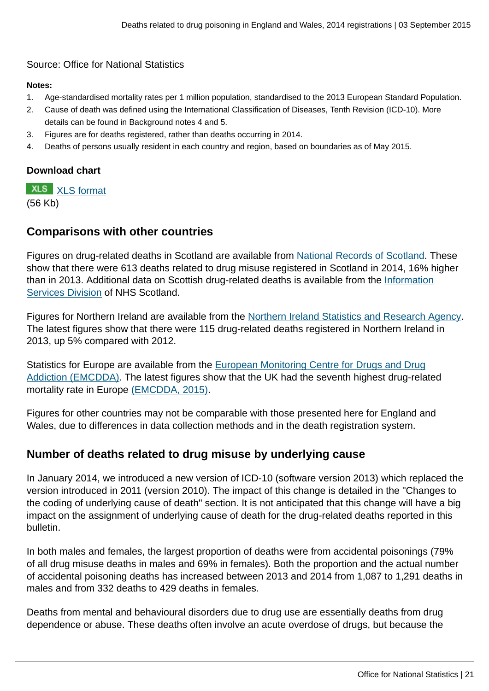## Source: Office for National Statistics

#### **Notes:**

- 1. Age-standardised mortality rates per 1 million population, standardised to the 2013 European Standard Population.
- 2. Cause of death was defined using the International Classification of Diseases, Tenth Revision (ICD-10). More details can be found in Background notes 4 and 5.
- 3. Figures are for deaths registered, rather than deaths occurring in 2014.
- 4. Deaths of persons usually resident in each country and region, based on boundaries as of May 2015.

## **Download chart**

**XLS** [XLS format](http://www.ons.gov.uk:80/ons/rel/subnational-health3/deaths-related-to-drug-poisoning/england-and-wales---2014/chd-7.xls) (56 Kb)

# **Comparisons with other countries**

Figures on drug-related deaths in Scotland are available from [National Records of Scotland](http://www.gro-scotland.gov.uk/statistics-and-data/statistics/statistics-by-theme/vital-events/deaths/drug-related-deaths-in-scotland). These show that there were 613 deaths related to drug misuse registered in Scotland in 2014, 16% higher than in 2013. Additional data on Scottish drug-related deaths is available from the [Information](http://www.isdscotland.org/Health-Topics/Drugs-and-Alcohol-Misuse/Publications/index.asp) [Services Division](http://www.isdscotland.org/Health-Topics/Drugs-and-Alcohol-Misuse/Publications/index.asp) of NHS Scotland.

Figures for Northern Ireland are available from the [Northern Ireland Statistics and Research Agency.](http://www.nisra.gov.uk/demography/default.asp30.htm) The latest figures show that there were 115 drug-related deaths registered in Northern Ireland in 2013, up 5% compared with 2012.

Statistics for Europe are available from the [European Monitoring Centre for Drugs and Drug](http://www.emcdda.europa.eu/edr2015) [Addiction \(EMCDDA\)](http://www.emcdda.europa.eu/edr2015). The latest figures show that the UK had the seventh highest drug-related mortality rate in Europe [\(EMCDDA, 2015\).](http://www.emcdda.europa.eu/publications/edr/trends-developments/2015)

Figures for other countries may not be comparable with those presented here for England and Wales, due to differences in data collection methods and in the death registration system.

# **Number of deaths related to drug misuse by underlying cause**

In January 2014, we introduced a new version of ICD-10 (software version 2013) which replaced the version introduced in 2011 (version 2010). The impact of this change is detailed in the "Changes to the coding of underlying cause of death" section. It is not anticipated that this change will have a big impact on the assignment of underlying cause of death for the drug-related deaths reported in this bulletin.

In both males and females, the largest proportion of deaths were from accidental poisonings (79% of all drug misuse deaths in males and 69% in females). Both the proportion and the actual number of accidental poisoning deaths has increased between 2013 and 2014 from 1,087 to 1,291 deaths in males and from 332 deaths to 429 deaths in females.

Deaths from mental and behavioural disorders due to drug use are essentially deaths from drug dependence or abuse. These deaths often involve an acute overdose of drugs, but because the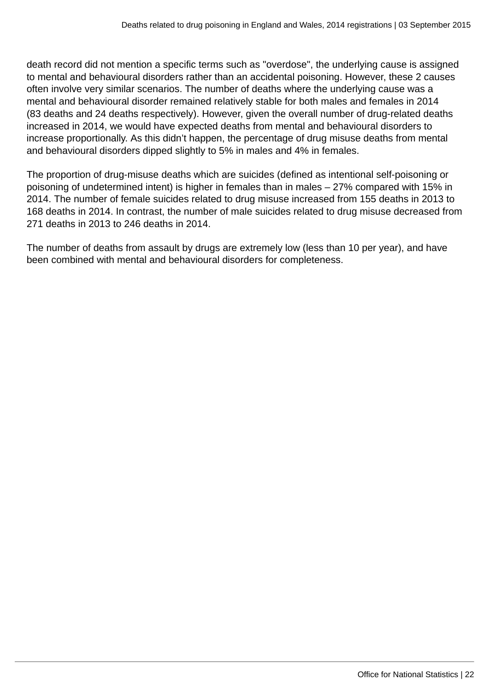death record did not mention a specific terms such as "overdose", the underlying cause is assigned to mental and behavioural disorders rather than an accidental poisoning. However, these 2 causes often involve very similar scenarios. The number of deaths where the underlying cause was a mental and behavioural disorder remained relatively stable for both males and females in 2014 (83 deaths and 24 deaths respectively). However, given the overall number of drug-related deaths increased in 2014, we would have expected deaths from mental and behavioural disorders to increase proportionally. As this didn't happen, the percentage of drug misuse deaths from mental and behavioural disorders dipped slightly to 5% in males and 4% in females.

The proportion of drug-misuse deaths which are suicides (defined as intentional self-poisoning or poisoning of undetermined intent) is higher in females than in males – 27% compared with 15% in 2014. The number of female suicides related to drug misuse increased from 155 deaths in 2013 to 168 deaths in 2014. In contrast, the number of male suicides related to drug misuse decreased from 271 deaths in 2013 to 246 deaths in 2014.

The number of deaths from assault by drugs are extremely low (less than 10 per year), and have been combined with mental and behavioural disorders for completeness.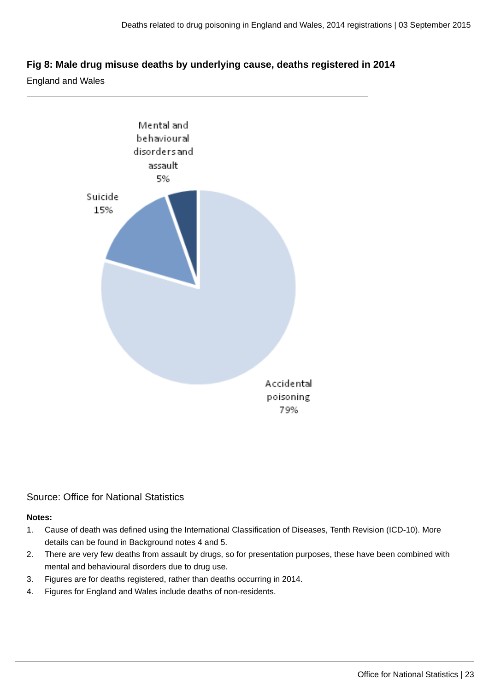## **Fig 8: Male drug misuse deaths by underlying cause, deaths registered in 2014**

England and Wales



# Source: Office for National Statistics

#### **Notes:**

- 1. Cause of death was defined using the International Classification of Diseases, Tenth Revision (ICD-10). More details can be found in Background notes 4 and 5.
- 2. There are very few deaths from assault by drugs, so for presentation purposes, these have been combined with mental and behavioural disorders due to drug use.
- 3. Figures are for deaths registered, rather than deaths occurring in 2014.
- 4. Figures for England and Wales include deaths of non-residents.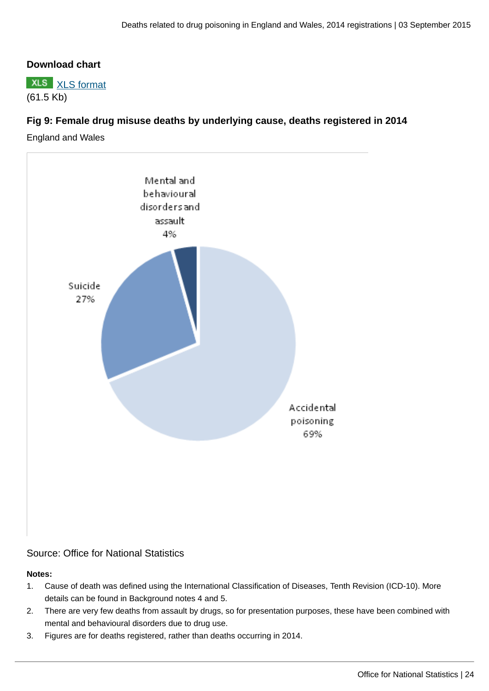## **Download chart**



# **Fig 9: Female drug misuse deaths by underlying cause, deaths registered in 2014**

England and Wales



Source: Office for National Statistics

#### **Notes:**

- 1. Cause of death was defined using the International Classification of Diseases, Tenth Revision (ICD-10). More details can be found in Background notes 4 and 5.
- 2. There are very few deaths from assault by drugs, so for presentation purposes, these have been combined with mental and behavioural disorders due to drug use.
- 3. Figures are for deaths registered, rather than deaths occurring in 2014.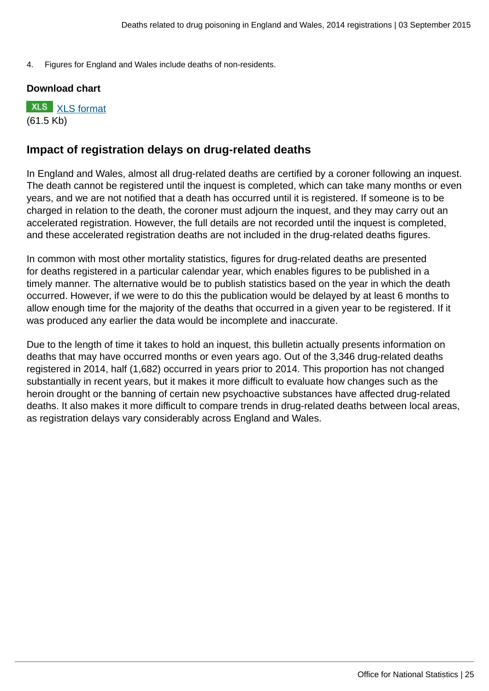4. Figures for England and Wales include deaths of non-residents.

#### **Download chart**

**XLS** [XLS format](http://www.ons.gov.uk:80/ons/rel/subnational-health3/deaths-related-to-drug-poisoning/england-and-wales---2014/chd-9.xls) (61.5 Kb)

# **Impact of registration delays on drug-related deaths**

In England and Wales, almost all drug-related deaths are certified by a coroner following an inquest. The death cannot be registered until the inquest is completed, which can take many months or even years, and we are not notified that a death has occurred until it is registered. If someone is to be charged in relation to the death, the coroner must adjourn the inquest, and they may carry out an accelerated registration. However, the full details are not recorded until the inquest is completed, and these accelerated registration deaths are not included in the drug-related deaths figures.

In common with most other mortality statistics, figures for drug-related deaths are presented for deaths registered in a particular calendar year, which enables figures to be published in a timely manner. The alternative would be to publish statistics based on the year in which the death occurred. However, if we were to do this the publication would be delayed by at least 6 months to allow enough time for the majority of the deaths that occurred in a given year to be registered. If it was produced any earlier the data would be incomplete and inaccurate.

Due to the length of time it takes to hold an inquest, this bulletin actually presents information on deaths that may have occurred months or even years ago. Out of the 3,346 drug-related deaths registered in 2014, half (1,682) occurred in years prior to 2014. This proportion has not changed substantially in recent years, but it makes it more difficult to evaluate how changes such as the heroin drought or the banning of certain new psychoactive substances have affected drug-related deaths. It also makes it more difficult to compare trends in drug-related deaths between local areas, as registration delays vary considerably across England and Wales.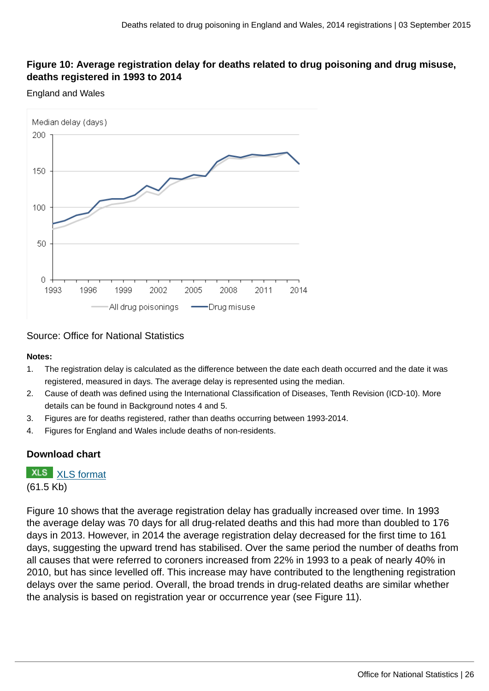# **Figure 10: Average registration delay for deaths related to drug poisoning and drug misuse, deaths registered in 1993 to 2014**

#### England and Wales



Source: Office for National Statistics

#### **Notes:**

- 1. The registration delay is calculated as the difference between the date each death occurred and the date it was registered, measured in days. The average delay is represented using the median.
- 2. Cause of death was defined using the International Classification of Diseases, Tenth Revision (ICD-10). More details can be found in Background notes 4 and 5.
- 3. Figures are for deaths registered, rather than deaths occurring between 1993-2014.
- 4. Figures for England and Wales include deaths of non-residents.

## **Download chart**

# **XLS** [XLS format](http://www.ons.gov.uk:80/ons/rel/subnational-health3/deaths-related-to-drug-poisoning/england-and-wales---2014/chd-10.xls)

(61.5 Kb)

Figure 10 shows that the average registration delay has gradually increased over time. In 1993 the average delay was 70 days for all drug-related deaths and this had more than doubled to 176 days in 2013. However, in 2014 the average registration delay decreased for the first time to 161 days, suggesting the upward trend has stabilised. Over the same period the number of deaths from all causes that were referred to coroners increased from 22% in 1993 to a peak of nearly 40% in 2010, but has since levelled off. This increase may have contributed to the lengthening registration delays over the same period. Overall, the broad trends in drug-related deaths are similar whether the analysis is based on registration year or occurrence year (see Figure 11).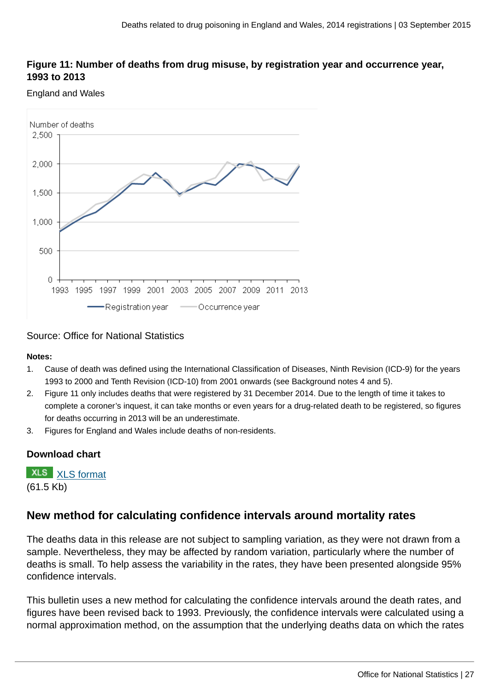## **Figure 11: Number of deaths from drug misuse, by registration year and occurrence year, 1993 to 2013**

#### England and Wales



#### Source: Office for National Statistics

#### **Notes:**

- 1. Cause of death was defined using the International Classification of Diseases, Ninth Revision (ICD-9) for the years 1993 to 2000 and Tenth Revision (ICD-10) from 2001 onwards (see Background notes 4 and 5).
- 2. Figure 11 only includes deaths that were registered by 31 December 2014. Due to the length of time it takes to complete a coroner's inquest, it can take months or even years for a drug-related death to be registered, so figures for deaths occurring in 2013 will be an underestimate.
- 3. Figures for England and Wales include deaths of non-residents.

# **Download chart**

**XLS** [XLS format](http://www.ons.gov.uk:80/ons/rel/subnational-health3/deaths-related-to-drug-poisoning/england-and-wales---2014/chd-11.xls) (61.5 Kb)

# **New method for calculating confidence intervals around mortality rates**

The deaths data in this release are not subject to sampling variation, as they were not drawn from a sample. Nevertheless, they may be affected by random variation, particularly where the number of deaths is small. To help assess the variability in the rates, they have been presented alongside 95% confidence intervals.

This bulletin uses a new method for calculating the confidence intervals around the death rates, and figures have been revised back to 1993. Previously, the confidence intervals were calculated using a normal approximation method, on the assumption that the underlying deaths data on which the rates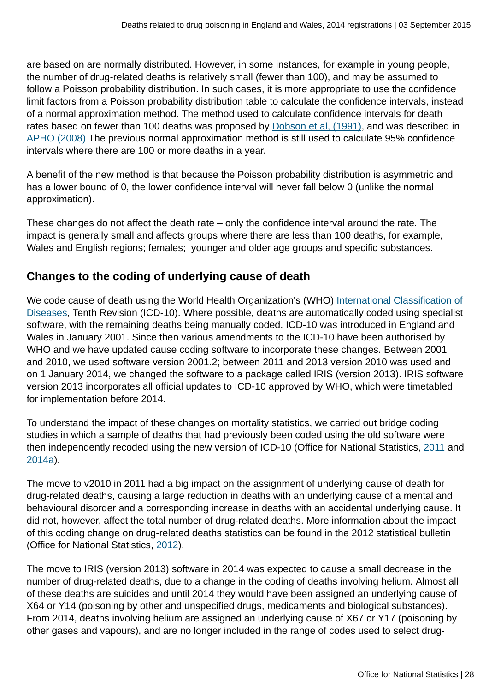are based on are normally distributed. However, in some instances, for example in young people, the number of drug-related deaths is relatively small (fewer than 100), and may be assumed to follow a Poisson probability distribution. In such cases, it is more appropriate to use the confidence limit factors from a Poisson probability distribution table to calculate the confidence intervals, instead of a normal approximation method. The method used to calculate confidence intervals for death rates based on fewer than 100 deaths was proposed by [Dobson et al, \(1991\),](http://onlinelibrary.wiley.com/doi/10.1002/sim.4780100317/abstract) and was described in [APHO \(2008\)](http://www.apho.org.uk/resource/view.aspx?RID=48457) The previous normal approximation method is still used to calculate 95% confidence intervals where there are 100 or more deaths in a year.

A benefit of the new method is that because the Poisson probability distribution is asymmetric and has a lower bound of 0, the lower confidence interval will never fall below 0 (unlike the normal approximation).

These changes do not affect the death rate – only the confidence interval around the rate. The impact is generally small and affects groups where there are less than 100 deaths, for example, Wales and English regions; females; younger and older age groups and specific substances.

# **Changes to the coding of underlying cause of death**

We code cause of death using the World Health Organization's (WHO) [International Classification of](http://apps.who.int/classifications/icd/en/index.html) [Diseases,](http://apps.who.int/classifications/icd/en/index.html) Tenth Revision (ICD-10). Where possible, deaths are automatically coded using specialist software, with the remaining deaths being manually coded. ICD-10 was introduced in England and Wales in January 2001. Since then various amendments to the ICD-10 have been authorised by WHO and we have updated cause coding software to incorporate these changes. Between 2001 and 2010, we used software version 2001.2; between 2011 and 2013 version 2010 was used and on 1 January 2014, we changed the software to a package called IRIS (version 2013). IRIS software version 2013 incorporates all official updates to ICD-10 approved by WHO, which were timetabled for implementation before 2014.

To understand the impact of these changes on mortality statistics, we carried out bridge coding studies in which a sample of deaths that had previously been coded using the old software were then independently recoded using the new version of ICD-10 (Office for National Statistics, [2011](http://www.ons.gov.uk:80/ons/rel/subnational-health3/results-of-the-icd-10-v2010-bridge-coding-study--england-and-wales--2009/2009/index.html) and [2014a\)](http://www.ons.gov.uk:80/ons/rel/subnational-health3/impact-of-the-implementation-of-iris-software-for-icd-10-cause-of-death-coding-on-mortality-statistics/england-and-wales.html).

The move to v2010 in 2011 had a big impact on the assignment of underlying cause of death for drug-related deaths, causing a large reduction in deaths with an underlying cause of a mental and behavioural disorder and a corresponding increase in deaths with an accidental underlying cause. It did not, however, affect the total number of drug-related deaths. More information about the impact of this coding change on drug-related deaths statistics can be found in the 2012 statistical bulletin (Office for National Statistics, [2012\)](http://www.ons.gov.uk:80/ons/rel/subnational-health3/deaths-related-to-drug-poisoning/2011/stb-deaths-related-to-drug-poisoning-2011.html).

The move to IRIS (version 2013) software in 2014 was expected to cause a small decrease in the number of drug-related deaths, due to a change in the coding of deaths involving helium. Almost all of these deaths are suicides and until 2014 they would have been assigned an underlying cause of X64 or Y14 (poisoning by other and unspecified drugs, medicaments and biological substances). From 2014, deaths involving helium are assigned an underlying cause of X67 or Y17 (poisoning by other gases and vapours), and are no longer included in the range of codes used to select drug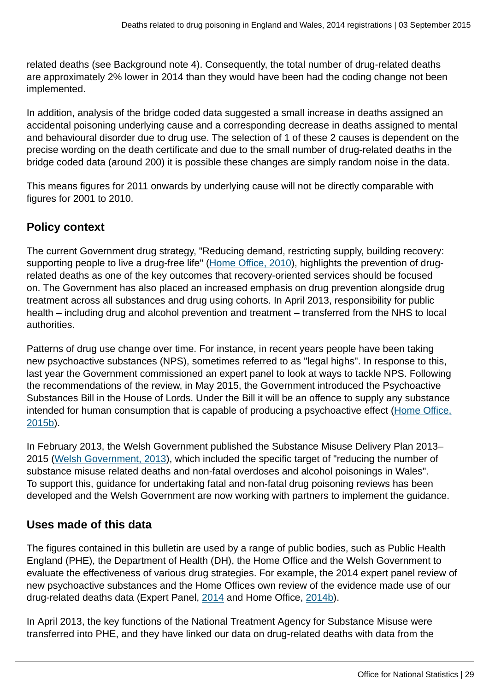related deaths (see Background note 4). Consequently, the total number of drug-related deaths are approximately 2% lower in 2014 than they would have been had the coding change not been implemented.

In addition, analysis of the bridge coded data suggested a small increase in deaths assigned an accidental poisoning underlying cause and a corresponding decrease in deaths assigned to mental and behavioural disorder due to drug use. The selection of 1 of these 2 causes is dependent on the precise wording on the death certificate and due to the small number of drug-related deaths in the bridge coded data (around 200) it is possible these changes are simply random noise in the data.

This means figures for 2011 onwards by underlying cause will not be directly comparable with figures for 2001 to 2010.

# **Policy context**

The current Government drug strategy, "Reducing demand, restricting supply, building recovery: supporting people to live a drug-free life" ([Home Office, 2010](https://www.gov.uk/government/publications/drug-strategy-2010--2)), highlights the prevention of drugrelated deaths as one of the key outcomes that recovery-oriented services should be focused on. The Government has also placed an increased emphasis on drug prevention alongside drug treatment across all substances and drug using cohorts. In April 2013, responsibility for public health – including drug and alcohol prevention and treatment – transferred from the NHS to local authorities.

Patterns of drug use change over time. For instance, in recent years people have been taking new psychoactive substances (NPS), sometimes referred to as "legal highs". In response to this, last year the Government commissioned an expert panel to look at ways to tackle NPS. Following the recommendations of the review, in May 2015, the Government introduced the Psychoactive Substances Bill in the House of Lords. Under the Bill it will be an offence to supply any substance intended for human consumption that is capable of producing a psychoactive effect [\(Home Office,](https://www.gov.uk/government/collections/psychoactive-substances-bill-2015) [2015b\)](https://www.gov.uk/government/collections/psychoactive-substances-bill-2015).

In February 2013, the Welsh Government published the Substance Misuse Delivery Plan 2013– 2015 [\(Welsh Government, 2013](http://gov.wales/topics/people-and-communities/communities/safety/substancemisuse/publications/dplan/?lang=en)), which included the specific target of "reducing the number of substance misuse related deaths and non-fatal overdoses and alcohol poisonings in Wales". To support this, guidance for undertaking fatal and non-fatal drug poisoning reviews has been developed and the Welsh Government are now working with partners to implement the guidance.

# **Uses made of this data**

The figures contained in this bulletin are used by a range of public bodies, such as Public Health England (PHE), the Department of Health (DH), the Home Office and the Welsh Government to evaluate the effectiveness of various drug strategies. For example, the 2014 expert panel review of new psychoactive substances and the Home Offices own review of the evidence made use of our drug-related deaths data (Expert Panel, [2014](#page-0-0) and Home Office, [2014b](https://www.gov.uk/government/publications/new-psychoactive-substances-in-england-a-review-of-the-evidence)).

In April 2013, the key functions of the National Treatment Agency for Substance Misuse were transferred into PHE, and they have linked our data on drug-related deaths with data from the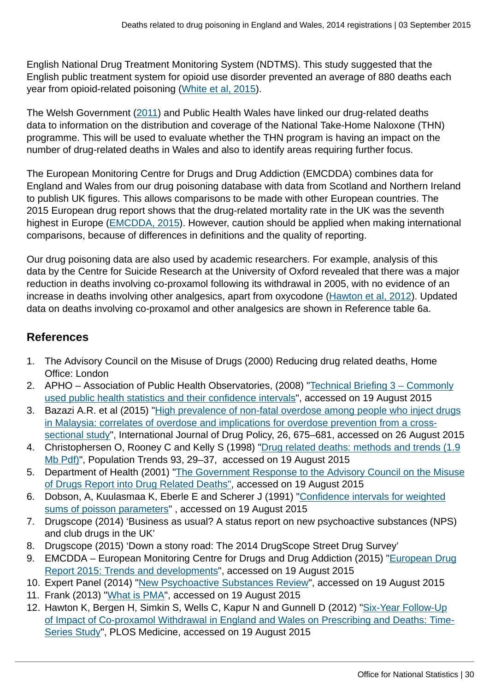English National Drug Treatment Monitoring System (NDTMS). This study suggested that the English public treatment system for opioid use disorder prevented an average of 880 deaths each year from opioid-related poisoning [\(White et al, 2015](http://www.ncbi.nlm.nih.gov/pubmed/25941025)).

The Welsh Government [\(2011\)](http://gov.wales/statistics-and-research/evaluation-take-home-naloxone-demonstration-project/?lang=en) and Public Health Wales have linked our drug-related deaths data to information on the distribution and coverage of the National Take-Home Naloxone (THN) programme. This will be used to evaluate whether the THN program is having an impact on the number of drug-related deaths in Wales and also to identify areas requiring further focus.

The European Monitoring Centre for Drugs and Drug Addiction (EMCDDA) combines data for England and Wales from our drug poisoning database with data from Scotland and Northern Ireland to publish UK figures. This allows comparisons to be made with other European countries. The 2015 European drug report shows that the drug-related mortality rate in the UK was the seventh highest in Europe [\(EMCDDA, 2015](http://www.emcdda.europa.eu/publications/edr/trends-developments/2015)). However, caution should be applied when making international comparisons, because of differences in definitions and the quality of reporting.

Our drug poisoning data are also used by academic researchers. For example, analysis of this data by the Centre for Suicide Research at the University of Oxford revealed that there was a major reduction in deaths involving co-proxamol following its withdrawal in 2005, with no evidence of an increase in deaths involving other analgesics, apart from oxycodone [\(Hawton et al, 2012](http://www.plosmedicine.org/article/info%3Adoi%2F10.1371%2Fjournal.pmed.1001213)). Updated data on deaths involving co-proxamol and other analgesics are shown in Reference table 6a.

# **References**

- 1. The Advisory Council on the Misuse of Drugs (2000) Reducing drug related deaths, Home Office: London
- 2. APHO Association of Public Health Observatories, (2008) ["Technical Briefing 3 Commonly](http://www.apho.org.uk/resource/view.aspx?RID=48457) [used public health statistics and their confidence intervals"](http://www.apho.org.uk/resource/view.aspx?RID=48457), accessed on 19 August 2015
- 3. Bazazi A.R. et al (2015) "[High prevalence of non-fatal overdose among people who inject drugs](http://www.ijdp.org/article/S0955-3959(14)00334-X/abstract) [in Malaysia: correlates of overdose and implications for overdose prevention from a cross](http://www.ijdp.org/article/S0955-3959(14)00334-X/abstract)[sectional study"](http://www.ijdp.org/article/S0955-3959(14)00334-X/abstract), International Journal of Drug Policy, 26, 675–681, accessed on 26 August 2015
- 4. Christophersen O, Rooney C and Kelly S (1998) "[Drug related deaths: methods and trends \(1.9](http://www.ons.gov.uk:80/ons/rel/population-trends-rd/population-trends/no--93--autumn-1998/population-trends.pdf) [Mb Pdf\)](http://www.ons.gov.uk:80/ons/rel/population-trends-rd/population-trends/no--93--autumn-1998/population-trends.pdf)", Population Trends 93, 29–37, accessed on 19 August 2015
- 5. Department of Health (2001) "[The Government Response to the Advisory Council on the Misuse](http://webarchive.nationalarchives.gov.uk/20130107105354/http:/www.dh.gov.uk/en/Publicationsandstatistics/Publications/PublicationsPolicyAndGuidance/DH_4015217) [of Drugs Report into Drug Related Deaths"](http://webarchive.nationalarchives.gov.uk/20130107105354/http:/www.dh.gov.uk/en/Publicationsandstatistics/Publications/PublicationsPolicyAndGuidance/DH_4015217), accessed on 19 August 2015
- 6. Dobson, A, Kuulasmaa K, Eberle E and Scherer J (1991) "[Confidence intervals for weighted](http://onlinelibrary.wiley.com/doi/10.1002/sim.4780100317/abstract) [sums of poisson parameters](http://onlinelibrary.wiley.com/doi/10.1002/sim.4780100317/abstract)" , accessed on 19 August 2015
- 7. Drugscope (2014) 'Business as usual? A status report on new psychoactive substances (NPS) and club drugs in the UK'
- 8. Drugscope (2015) 'Down a stony road: The 2014 DrugScope Street Drug Survey'
- 9. EMCDDA European Monitoring Centre for Drugs and Drug Addiction (2015) "[European Drug](http://www.emcdda.europa.eu/publications/edr/trends-developments/2015) [Report 2015: Trends and developments](http://www.emcdda.europa.eu/publications/edr/trends-developments/2015)", accessed on 19 August 2015
- 10. Expert Panel (2014) "[New Psychoactive Substances Review](#page-0-0)", accessed on 19 August 2015
- 11. Frank (2013) "[What is PMA"](http://www.talktofrank.com/news/what-pma), accessed on 19 August 2015
- 12. Hawton K, Bergen H, Simkin S, Wells C, Kapur N and Gunnell D (2012) "[Six-Year Follow-Up](http://www.plosmedicine.org/article/info%3Adoi%2F10.1371%2Fjournal.pmed.1001213) [of Impact of Co-proxamol Withdrawal in England and Wales on Prescribing and Deaths: Time-](http://www.plosmedicine.org/article/info%3Adoi%2F10.1371%2Fjournal.pmed.1001213)[Series Study](http://www.plosmedicine.org/article/info%3Adoi%2F10.1371%2Fjournal.pmed.1001213)", PLOS Medicine, accessed on 19 August 2015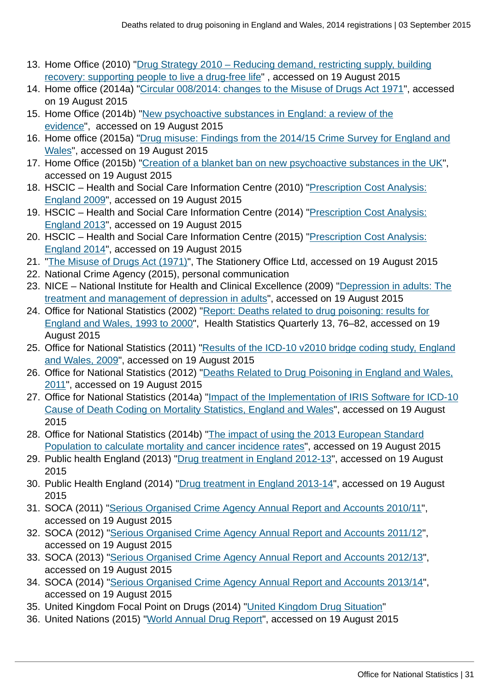- 13. Home Office (2010) ["Drug Strategy 2010 Reducing demand, restricting supply, building](https://www.gov.uk/government/publications/drug-strategy-2010--2) [recovery: supporting people to live a drug-free life"](https://www.gov.uk/government/publications/drug-strategy-2010--2) , accessed on 19 August 2015
- 14. Home office (2014a) ["Circular 008/2014: changes to the Misuse of Drugs Act 1971](https://www.gov.uk/government/publications/circular-0082014-changes-to-the-misuse-of-drugs-act-1971)", accessed on 19 August 2015
- 15. Home Office (2014b) ["New psychoactive substances in England: a review of the](https://www.gov.uk/government/publications/new-psychoactive-substances-in-england-a-review-of-the-evidence) [evidence](https://www.gov.uk/government/publications/new-psychoactive-substances-in-england-a-review-of-the-evidence)", accessed on 19 August 2015
- 16. Home office (2015a) ["Drug misuse: Findings from the 2014/15 Crime Survey for England and](https://www.gov.uk/government/statistics/drug-misuse-findings-from-the-2014-to-2015-csew) [Wales](https://www.gov.uk/government/statistics/drug-misuse-findings-from-the-2014-to-2015-csew)", accessed on 19 August 2015
- 17. Home Office (2015b) ["Creation of a blanket ban on new psychoactive substances in the UK](https://www.gov.uk/government/collections/psychoactive-substances-bill-2015)", accessed on 19 August 2015
- 18. HSCIC Health and Social Care Information Centre (2010) "[Prescription Cost Analysis:](http://www.hscic.gov.uk/searchcatalogue?productid=2665&q=prescription+cost+analysis&sort=Relevance&size=10&page=1#top) [England 2009](http://www.hscic.gov.uk/searchcatalogue?productid=2665&q=prescription+cost+analysis&sort=Relevance&size=10&page=1#top)", accessed on 19 August 2015
- 19. HSCIC Health and Social Care Information Centre (2014) "[Prescription Cost Analysis:](http://www.hscic.gov.uk/searchcatalogue?productid=14494&q=prescription+cost+analysis&sort=Relevance&size=10&page=2#top) [England 2013](http://www.hscic.gov.uk/searchcatalogue?productid=14494&q=prescription+cost+analysis&sort=Relevance&size=10&page=2#top)", accessed on 19 August 2015
- 20. HSCIC Health and Social Care Information Centre (2015) "[Prescription Cost Analysis:](http://www.hscic.gov.uk/searchcatalogue?productid=17711&q=prescription+cost+analysis&sort=Relevance&size=10&page=1#top) [England 2014](http://www.hscic.gov.uk/searchcatalogue?productid=17711&q=prescription+cost+analysis&sort=Relevance&size=10&page=1#top)", accessed on 19 August 2015
- 21. "[The Misuse of Drugs Act \(1971\)"](http://www.legislation.gov.uk/ukpga/1971/38/contents), The Stationery Office Ltd, accessed on 19 August 2015
- 22. National Crime Agency (2015), personal communication
- 23. NICE National Institute for Health and Clinical Excellence (2009) ["Depression in adults: The](http://www.nice.org.uk/guidance/cg90/chapter/1-recommendations) [treatment and management of depression in adults](http://www.nice.org.uk/guidance/cg90/chapter/1-recommendations)", accessed on 19 August 2015
- 24. Office for National Statistics (2002) "[Report: Deaths related to drug poisoning: results for](http://www.ons.gov.uk:80/ons/rel/hsq/health-statistics-quarterly/no--13--spring-2002/index.html) [England and Wales, 1993 to 2000"](http://www.ons.gov.uk:80/ons/rel/hsq/health-statistics-quarterly/no--13--spring-2002/index.html), Health Statistics Quarterly 13, 76–82, accessed on 19 August 2015
- 25. Office for National Statistics (2011) ["Results of the ICD-10 v2010 bridge coding study, England](http://www.ons.gov.uk/ons/rel/subnational-health3/results-of-the-icd-10-v2010-bridge-coding-study--england-and-wales--2009/2009/index.html) [and Wales, 2009"](http://www.ons.gov.uk/ons/rel/subnational-health3/results-of-the-icd-10-v2010-bridge-coding-study--england-and-wales--2009/2009/index.html), accessed on 19 August 2015
- 26. Office for National Statistics (2012) "[Deaths Related to Drug Poisoning in England and Wales,](http://www.ons.gov.uk:80/ons/rel/subnational-health3/deaths-related-to-drug-poisoning/2011/stb-deaths-related-to-drug-poisoning-2011.html) [2011](http://www.ons.gov.uk:80/ons/rel/subnational-health3/deaths-related-to-drug-poisoning/2011/stb-deaths-related-to-drug-poisoning-2011.html)", accessed on 19 August 2015
- 27. Office for National Statistics (2014a) "[Impact of the Implementation of IRIS Software for ICD-10](http://www.ons.gov.uk:80/ons/rel/subnational-health3/impact-of-the-implementation-of-iris-software-for-icd-10-cause-of-death-coding-on-mortality-statistics/england-and-wales.html) [Cause of Death Coding on Mortality Statistics, England and Wales"](http://www.ons.gov.uk:80/ons/rel/subnational-health3/impact-of-the-implementation-of-iris-software-for-icd-10-cause-of-death-coding-on-mortality-statistics/england-and-wales.html), accessed on 19 August 2015
- 28. Office for National Statistics (2014b) "[The impact of using the 2013 European Standard](http://www.ons.gov.uk:80/ons/rel/cancer-unit/the-impact-of-calculating-cancer-incidence-rates-using-the-2013-european-standard-population/applied-to-2011-cancer-registrations.html) [Population to calculate mortality and cancer incidence rates](http://www.ons.gov.uk:80/ons/rel/cancer-unit/the-impact-of-calculating-cancer-incidence-rates-using-the-2013-european-standard-population/applied-to-2011-cancer-registrations.html)", accessed on 19 August 2015
- 29. Public health England (2013) "[Drug treatment in England 2012-13](http://www.nta.nhs.uk/uploads/adultstats2012-13.pdf)", accessed on 19 August 2015
- 30. Public Health England (2014) "[Drug treatment in England 2013-14](http://www.nta.nhs.uk/uploads/drug-treatment-in-england-2013-14-commentary.pdf)", accessed on 19 August 2015
- 31. SOCA (2011) ["Serious Organised Crime Agency Annual Report and Accounts 2010/11"](https://www.gov.uk/government/publications/serious-organised-crime-agency-annual-report-and-accounts-2010-to-2011), accessed on 19 August 2015
- 32. SOCA (2012) "[Serious Organised Crime Agency Annual Report and Accounts 2011/12"](https://www.gov.uk/government/publications/serious-organised-crime-agency-annual-report-and-accounts-2011-to-2012), accessed on 19 August 2015
- 33. SOCA (2013) "[Serious Organised Crime Agency Annual Report and Accounts 2012/13"](https://www.gov.uk/government/publications/serious-organised-crime-agency-annual-report-and-accounts-2012-to-2013), accessed on 19 August 2015
- 34. SOCA (2014) "[Serious Organised Crime Agency Annual Report and Accounts 2013/14"](https://www.gov.uk/government/publications/serious-organised-crime-agency-annual-report-2013-to-2014), accessed on 19 August 2015
- 35. United Kingdom Focal Point on Drugs (2014) "[United Kingdom Drug Situation](http://www.nta.nhs.uk/uploads/uk-focal-point-report-2014.pdf)"
- 36. United Nations (2015) "[World Annual Drug Report](#page-0-0)", accessed on 19 August 2015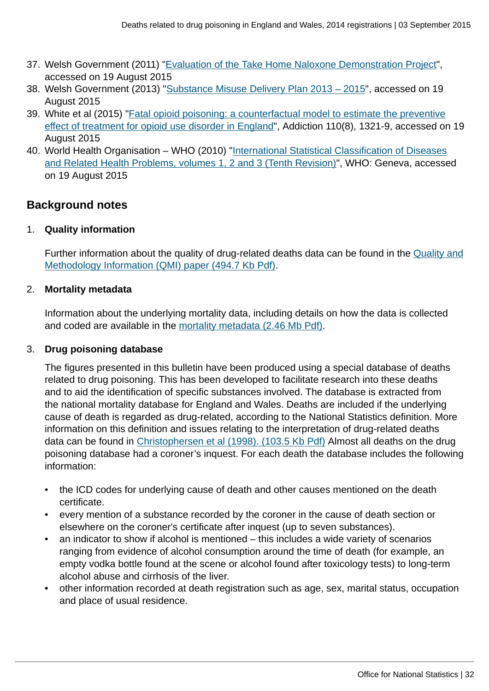- 37. Welsh Government (2011) "[Evaluation of the Take Home Naloxone Demonstration Project"](http://gov.wales/statistics-and-research/evaluation-take-home-naloxone-demonstration-project/?lang=en), accessed on 19 August 2015
- 38. Welsh Government (2013) ["Substance Misuse Delivery Plan 2013 2015](http://gov.wales/topics/people-and-communities/communities/safety/substancemisuse/publications/dplan/?lang=en)", accessed on 19 August 2015
- 39. White et al (2015) "[Fatal opioid poisoning: a counterfactual model to estimate the preventive](http://www.ncbi.nlm.nih.gov/pubmed/25941025) [effect of treatment for opioid use disorder in England"](http://www.ncbi.nlm.nih.gov/pubmed/25941025), Addiction 110(8), 1321-9, accessed on 19 August 2015
- 40. World Health Organisation WHO (2010) ["International Statistical Classification of Diseases](http://apps.who.int/classifications/icd/en/index.html) [and Related Health Problems, volumes 1, 2 and 3 \(Tenth Revision\)](http://apps.who.int/classifications/icd/en/index.html)", WHO: Geneva, accessed on 19 August 2015

# **Background notes**

1. **Quality information**

Further information about the quality of drug-related deaths data can be found in the [Quality and](http://www.ons.gov.uk:80/ons/guide-method/method-quality/quality/quality-information/health-and-social-care/quality-and-methodology-information-for-deaths-related-to-drug-poisoning.pdf) [Methodology Information \(QMI\) paper \(494.7 Kb Pdf\).](http://www.ons.gov.uk:80/ons/guide-method/method-quality/quality/quality-information/health-and-social-care/quality-and-methodology-information-for-deaths-related-to-drug-poisoning.pdf)

## 2. **Mortality metadata**

Information about the underlying mortality data, including details on how the data is collected and coded are available in the [mortality metadata \(2.46 Mb Pdf\)](http://www.ons.gov.uk:80/ons/guide-method/user-guidance/health-and-life-events/mortality-metadata.pdf).

## 3. **Drug poisoning database**

The figures presented in this bulletin have been produced using a special database of deaths related to drug poisoning. This has been developed to facilitate research into these deaths and to aid the identification of specific substances involved. The database is extracted from the national mortality database for England and Wales. Deaths are included if the underlying cause of death is regarded as drug-related, according to the National Statistics definition. More information on this definition and issues relating to the interpretation of drug-related deaths data can be found in [Christophersen et al \(1998\). \(103.5 Kb Pdf\)](http://www.ons.gov.uk:80/ons/rel/population-trends-rd/population-trends/no--93--autumn-1998/drug-related-mortality.pdf) Almost all deaths on the drug poisoning database had a coroner's inquest. For each death the database includes the following information:

- the ICD codes for underlying cause of death and other causes mentioned on the death certificate.
- every mention of a substance recorded by the coroner in the cause of death section or elsewhere on the coroner's certificate after inquest (up to seven substances).
- an indicator to show if alcohol is mentioned this includes a wide variety of scenarios ranging from evidence of alcohol consumption around the time of death (for example, an empty vodka bottle found at the scene or alcohol found after toxicology tests) to long-term alcohol abuse and cirrhosis of the liver.
- other information recorded at death registration such as age, sex, marital status, occupation and place of usual residence.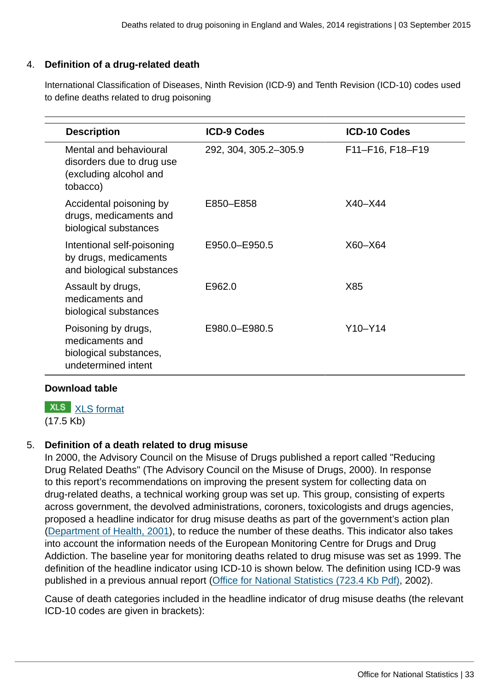# 4. **Definition of a drug-related death**

International Classification of Diseases, Ninth Revision (ICD-9) and Tenth Revision (ICD-10) codes used to define deaths related to drug poisoning

| <b>Description</b>                                                                        | <b>ICD-9 Codes</b>    | <b>ICD-10 Codes</b> |
|-------------------------------------------------------------------------------------------|-----------------------|---------------------|
| Mental and behavioural<br>disorders due to drug use<br>(excluding alcohol and<br>tobacco) | 292, 304, 305.2-305.9 | F11-F16, F18-F19    |
| Accidental poisoning by<br>drugs, medicaments and<br>biological substances                | E850-E858             | $X40 - X44$         |
| Intentional self-poisoning<br>by drugs, medicaments<br>and biological substances          | E950.0-E950.5         | $X60 - X64$         |
| Assault by drugs,<br>medicaments and<br>biological substances                             | E962.0                | X85                 |
| Poisoning by drugs,<br>medicaments and<br>biological substances,<br>undetermined intent   | E980.0-E980.5         | $Y10-Y14$           |

## **Download table**

**XLS** [XLS format](http://www.ons.gov.uk:80/ons/rel/subnational-health3/deaths-related-to-drug-poisoning/england-and-wales---2014/prt-3.xls)

(17.5 Kb)

# 5. **Definition of a death related to drug misuse**

In 2000, the Advisory Council on the Misuse of Drugs published a report called "Reducing Drug Related Deaths" (The Advisory Council on the Misuse of Drugs, 2000). In response to this report's recommendations on improving the present system for collecting data on drug-related deaths, a technical working group was set up. This group, consisting of experts across government, the devolved administrations, coroners, toxicologists and drugs agencies, proposed a headline indicator for drug misuse deaths as part of the government's action plan [\(Department of Health, 2001\)](http://webarchive.nationalarchives.gov.uk/20130107105354/http:/www.dh.gov.uk/en/Publicationsandstatistics/Publications/PublicationsPolicyAndGuidance/DH_4015217), to reduce the number of these deaths. This indicator also takes into account the information needs of the European Monitoring Centre for Drugs and Drug Addiction. The baseline year for monitoring deaths related to drug misuse was set as 1999. The definition of the headline indicator using ICD-10 is shown below. The definition using ICD-9 was published in a previous annual report [\(Office for National Statistics \(723.4 Kb Pdf\)](http://www.ons.gov.uk:80/ons/rel/hsq/health-statistics-quarterly/no--13--spring-2002/health-statistics-quarterly.pdf), 2002).

Cause of death categories included in the headline indicator of drug misuse deaths (the relevant ICD-10 codes are given in brackets):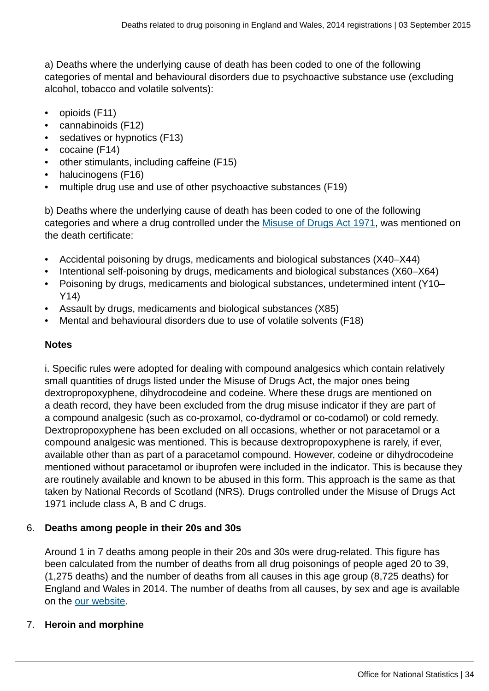a) Deaths where the underlying cause of death has been coded to one of the following categories of mental and behavioural disorders due to psychoactive substance use (excluding alcohol, tobacco and volatile solvents):

- opioids (F11)
- cannabinoids (F12)
- sedatives or hypnotics (F13)
- cocaine (F14)
- other stimulants, including caffeine (F15)
- halucinogens (F16)
- multiple drug use and use of other psychoactive substances (F19)

b) Deaths where the underlying cause of death has been coded to one of the following categories and where a drug controlled under the [Misuse of Drugs Act 1971](http://www.legislation.gov.uk/ukpga/1971/38/contents), was mentioned on the death certificate:

- Accidental poisoning by drugs, medicaments and biological substances (X40–X44)
- Intentional self-poisoning by drugs, medicaments and biological substances (X60–X64)
- Poisoning by drugs, medicaments and biological substances, undetermined intent (Y10– Y14)
- Assault by drugs, medicaments and biological substances (X85)
- Mental and behavioural disorders due to use of volatile solvents (F18)

# **Notes**

i. Specific rules were adopted for dealing with compound analgesics which contain relatively small quantities of drugs listed under the Misuse of Drugs Act, the major ones being dextropropoxyphene, dihydrocodeine and codeine. Where these drugs are mentioned on a death record, they have been excluded from the drug misuse indicator if they are part of a compound analgesic (such as co-proxamol, co-dydramol or co-codamol) or cold remedy. Dextropropoxyphene has been excluded on all occasions, whether or not paracetamol or a compound analgesic was mentioned. This is because dextropropoxyphene is rarely, if ever, available other than as part of a paracetamol compound. However, codeine or dihydrocodeine mentioned without paracetamol or ibuprofen were included in the indicator. This is because they are routinely available and known to be abused in this form. This approach is the same as that taken by National Records of Scotland (NRS). Drugs controlled under the Misuse of Drugs Act 1971 include class A, B and C drugs.

# 6. **Deaths among people in their 20s and 30s**

Around 1 in 7 deaths among people in their 20s and 30s were drug-related. This figure has been calculated from the number of deaths from all drug poisonings of people aged 20 to 39, (1,275 deaths) and the number of deaths from all causes in this age group (8,725 deaths) for England and Wales in 2014. The number of deaths from all causes, by sex and age is available on the [our website](http://www.ons.gov.uk:80/ons/rel/vsob1/death-reg-sum-tables/index.html).

# 7. **Heroin and morphine**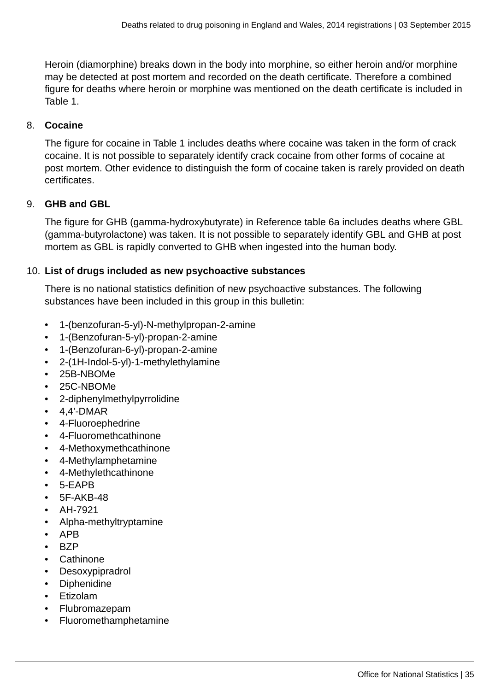Heroin (diamorphine) breaks down in the body into morphine, so either heroin and/or morphine may be detected at post mortem and recorded on the death certificate. Therefore a combined figure for deaths where heroin or morphine was mentioned on the death certificate is included in Table 1.

## 8. **Cocaine**

The figure for cocaine in Table 1 includes deaths where cocaine was taken in the form of crack cocaine. It is not possible to separately identify crack cocaine from other forms of cocaine at post mortem. Other evidence to distinguish the form of cocaine taken is rarely provided on death certificates.

# 9. **GHB and GBL**

The figure for GHB (gamma-hydroxybutyrate) in Reference table 6a includes deaths where GBL (gamma-butyrolactone) was taken. It is not possible to separately identify GBL and GHB at post mortem as GBL is rapidly converted to GHB when ingested into the human body.

## 10. **List of drugs included as new psychoactive substances**

There is no national statistics definition of new psychoactive substances. The following substances have been included in this group in this bulletin:

- 1-(benzofuran-5-yl)-N-methylpropan-2-amine
- 1-(Benzofuran-5-yl)-propan-2-amine
- 1-(Benzofuran-6-yl)-propan-2-amine
- 2-(1H-Indol-5-yl)-1-methylethylamine
- 25B-NBOMe
- 25C-NBOMe
- 2-diphenylmethylpyrrolidine
- $\cdot$  4,4'-DMAR
- 4-Fluoroephedrine
- 4-Fluoromethcathinone
- 4-Methoxymethcathinone
- 4-Methylamphetamine
- 4-Methylethcathinone
- 5-EAPB
- 5F-AKB-48
- AH-7921
- Alpha-methyltryptamine
- APB
- BZP
- Cathinone
- Desoxypipradrol
- Diphenidine
- Etizolam
- Flubromazepam
- Fluoromethamphetamine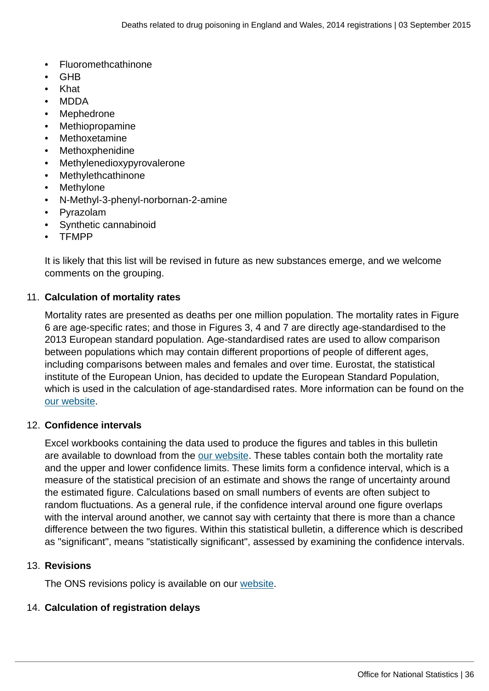- Fluoromethcathinone
- GHB
- Khat
- MDDA
- **Mephedrone**
- Methiopropamine
- **Methoxetamine**
- **Methoxphenidine**
- Methylenedioxypyrovalerone
- **Methylethcathinone**
- **Methylone**
- N-Methyl-3-phenyl-norbornan-2-amine
- Pyrazolam
- Synthetic cannabinoid
- TFMPP

It is likely that this list will be revised in future as new substances emerge, and we welcome comments on the grouping.

## 11. **Calculation of mortality rates**

Mortality rates are presented as deaths per one million population. The mortality rates in Figure 6 are age-specific rates; and those in Figures 3, 4 and 7 are directly age-standardised to the 2013 European standard population. Age-standardised rates are used to allow comparison between populations which may contain different proportions of people of different ages, including comparisons between males and females and over time. Eurostat, the statistical institute of the European Union, has decided to update the European Standard Population, which is used in the calculation of age-standardised rates. More information can be found on the [our website.](http://www.ons.gov.uk:80/ons/guide-method/user-guidance/health-and-life-events/revised-european-standard-population-2013--2013-esp-/index.html)

## 12. **Confidence intervals**

Excel workbooks containing the data used to produce the figures and tables in this bulletin are available to download from the [our website](http://www.ons.gov.uk:80/ons/rel/subnational-health3/deaths-related-to-drug-poisoning/index.html). These tables contain both the mortality rate and the upper and lower confidence limits. These limits form a confidence interval, which is a measure of the statistical precision of an estimate and shows the range of uncertainty around the estimated figure. Calculations based on small numbers of events are often subject to random fluctuations. As a general rule, if the confidence interval around one figure overlaps with the interval around another, we cannot say with certainty that there is more than a chance difference between the two figures. Within this statistical bulletin, a difference which is described as "significant", means "statistically significant", assessed by examining the confidence intervals.

## 13. **Revisions**

The ONS revisions policy is available on our [website](http://www.ons.gov.uk:80/ons/guide-method/revisions/corporate-statistical-policy/index.html).

## 14. **Calculation of registration delays**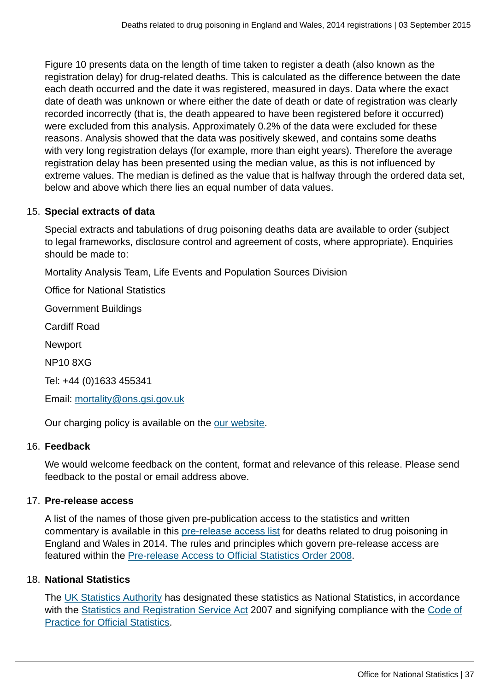Figure 10 presents data on the length of time taken to register a death (also known as the registration delay) for drug-related deaths. This is calculated as the difference between the date each death occurred and the date it was registered, measured in days. Data where the exact date of death was unknown or where either the date of death or date of registration was clearly recorded incorrectly (that is, the death appeared to have been registered before it occurred) were excluded from this analysis. Approximately 0.2% of the data were excluded for these reasons. Analysis showed that the data was positively skewed, and contains some deaths with very long registration delays (for example, more than eight years). Therefore the average registration delay has been presented using the median value, as this is not influenced by extreme values. The median is defined as the value that is halfway through the ordered data set, below and above which there lies an equal number of data values.

# 15. **Special extracts of data**

Special extracts and tabulations of drug poisoning deaths data are available to order (subject to legal frameworks, disclosure control and agreement of costs, where appropriate). Enquiries should be made to:

Mortality Analysis Team, Life Events and Population Sources Division

Office for National Statistics

Government Buildings

Cardiff Road

Newport

NP10 8XG

Tel: +44 (0)1633 455341

Email: [mortality@ons.gsi.gov.uk](mailto:mortality@ons.gsi.gov.uk)

Our charging policy is available on the [our website.](http://www.ons.gov.uk:80/ons/about-ons/business-transparency/freedom-of-information/ons-charging-policy/index.html)

## 16. **Feedback**

We would welcome feedback on the content, format and relevance of this release. Please send feedback to the postal or email address above.

## 17. **Pre-release access**

A list of the names of those given pre-publication access to the statistics and written commentary is available in this [pre-release access list](http://www.ons.gov.uk:80/ons/rel/subnational-health3/deaths-related-to-drug-poisoning/england-and-wales---2014/pre-release-access.html) for deaths related to drug poisoning in England and Wales in 2014. The rules and principles which govern pre-release access are featured within the [Pre-release Access to Official Statistics Order 2008](http://www.legislation.gov.uk/uksi/2008/2998/schedule/made).

## 18. **National Statistics**

The [UK Statistics Authority](http://www.statisticsauthority.gov.uk/assessment/assessment/assessment-reports/index.html) has designated these statistics as National Statistics, in accordance with the [Statistics and Registration Service Act](http://www.ons.gov.uk:80/ons/guide-method/ons-independence/the-statistics-act/index.html) 2007 and signifying compliance with the [Code of](http://www.ons.gov.uk:80/ons/guide-method/the-national-statistics-standard/code-of-practice/index.html) [Practice for Official Statistics](http://www.ons.gov.uk:80/ons/guide-method/the-national-statistics-standard/code-of-practice/index.html).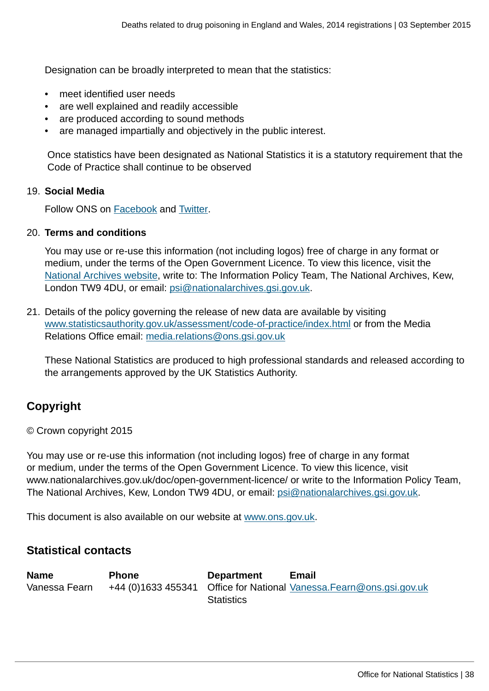Designation can be broadly interpreted to mean that the statistics:

- meet identified user needs
- are well explained and readily accessible
- are produced according to sound methods
- are managed impartially and objectively in the public interest.

 Once statistics have been designated as National Statistics it is a statutory requirement that the Code of Practice shall continue to be observed

## 19. **Social Media**

Follow ONS on [Facebook](http://www.ons.gov.uk:80/ons/external-links/social-media/index.html) and [Twitter](http://www.ons.gov.uk:80/ons/external-links/social-media/twitter.html).

#### 20. **Terms and conditions**

You may use or re-use this information (not including logos) free of charge in any format or medium, under the terms of the Open Government Licence. To view this licence, visit the [National Archives website,](http://www.ons.gov.uk:80/ons/external-links/other-government-departments/national-archives/index.html) write to: The Information Policy Team, The National Archives, Kew, London TW9 4DU, or email: [psi@nationalarchives.gsi.gov.uk.](mailto:psi@nationalarchives.gsi.gov.uk)

21. Details of the policy governing the release of new data are available by visiting [www.statisticsauthority.gov.uk/assessment/code-of-practice/index.html](http://www.statisticsauthority.gov.uk/assessment/code-of-practice/index.html) or from the Media Relations Office email: [media.relations@ons.gsi.gov.uk](mailto:media.relations@ons.gsi.gov.uk)

These National Statistics are produced to high professional standards and released according to the arrangements approved by the UK Statistics Authority.

# **Copyright**

© Crown copyright 2015

You may use or re-use this information (not including logos) free of charge in any format or medium, under the terms of the Open Government Licence. To view this licence, visit www.nationalarchives.gov.uk/doc/open-government-licence/ or write to the Information Policy Team, The National Archives, Kew, London TW9 4DU, or email: [psi@nationalarchives.gsi.gov.uk](mailto:psi@nationalarchives.gsi.gov.uk).

This document is also available on our website at [www.ons.gov.uk.](http://www.ons.gov.uk/)

# **Statistical contacts**

| <b>Name</b>   | <b>Phone</b> | <b>Department</b> | <b>Email</b>                                                         |
|---------------|--------------|-------------------|----------------------------------------------------------------------|
| Vanessa Fearn |              |                   | +44 (0)1633 455341 Office for National Vanessa. Fearn@ons.gsi.gov.uk |
|               |              | <b>Statistics</b> |                                                                      |